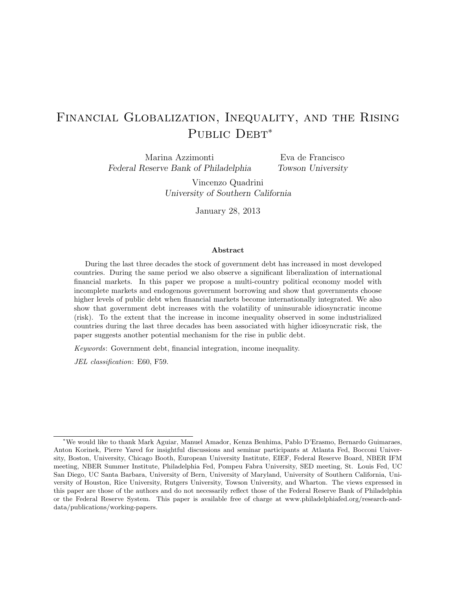# Financial Globalization, Inequality, and the Rising PUBLIC DEBT<sup>\*</sup>

Marina Azzimonti Federal Reserve Bank of Philadelphia

Eva de Francisco Towson University

Vincenzo Quadrini University of Southern California

January 28, 2013

#### Abstract

During the last three decades the stock of government debt has increased in most developed countries. During the same period we also observe a significant liberalization of international financial markets. In this paper we propose a multi-country political economy model with incomplete markets and endogenous government borrowing and show that governments choose higher levels of public debt when financial markets become internationally integrated. We also show that government debt increases with the volatility of uninsurable idiosyncratic income (risk). To the extent that the increase in income inequality observed in some industrialized countries during the last three decades has been associated with higher idiosyncratic risk, the paper suggests another potential mechanism for the rise in public debt.

Keywords: Government debt, financial integration, income inequality.

JEL classification: E60, F59.

<sup>∗</sup>We would like to thank Mark Aguiar, Manuel Amador, Kenza Benhima, Pablo D'Erasmo, Bernardo Guimaraes, Anton Korinek, Pierre Yared for insightful discussions and seminar participants at Atlanta Fed, Bocconi University, Boston, University, Chicago Booth, European University Institute, EIEF, Federal Reserve Board, NBER IFM meeting, NBER Summer Institute, Philadelphia Fed, Pompeu Fabra University, SED meeting, St. Louis Fed, UC San Diego, UC Santa Barbara, University of Bern, University of Maryland, University of Southern California, University of Houston, Rice University, Rutgers University, Towson University, and Wharton. The views expressed in this paper are those of the authors and do not necessarily reflect those of the Federal Reserve Bank of Philadelphia or the Federal Reserve System. This paper is available free of charge at www.philadelphiafed.org/research-anddata/publications/working-papers.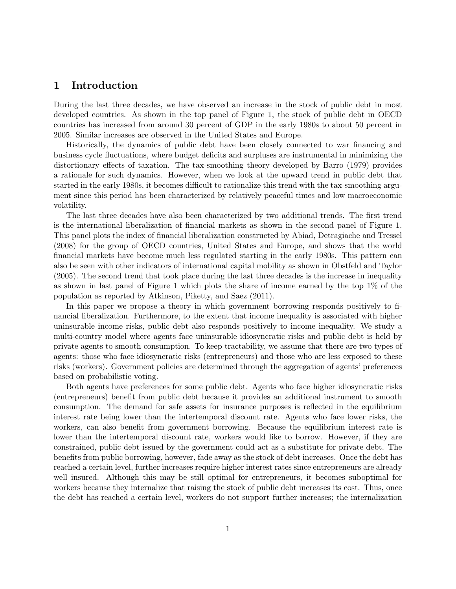### 1 Introduction

During the last three decades, we have observed an increase in the stock of public debt in most developed countries. As shown in the top panel of Figure 1, the stock of public debt in OECD countries has increased from around 30 percent of GDP in the early 1980s to about 50 percent in 2005. Similar increases are observed in the United States and Europe.

Historically, the dynamics of public debt have been closely connected to war financing and business cycle fluctuations, where budget deficits and surpluses are instrumental in minimizing the distortionary effects of taxation. The tax-smoothing theory developed by Barro (1979) provides a rationale for such dynamics. However, when we look at the upward trend in public debt that started in the early 1980s, it becomes difficult to rationalize this trend with the tax-smoothing argument since this period has been characterized by relatively peaceful times and low macroeconomic volatility.

The last three decades have also been characterized by two additional trends. The first trend is the international liberalization of financial markets as shown in the second panel of Figure 1. This panel plots the index of financial liberalization constructed by Abiad, Detragiache and Tressel (2008) for the group of OECD countries, United States and Europe, and shows that the world financial markets have become much less regulated starting in the early 1980s. This pattern can also be seen with other indicators of international capital mobility as shown in Obstfeld and Taylor (2005). The second trend that took place during the last three decades is the increase in inequality as shown in last panel of Figure 1 which plots the share of income earned by the top 1% of the population as reported by Atkinson, Piketty, and Saez (2011).

In this paper we propose a theory in which government borrowing responds positively to financial liberalization. Furthermore, to the extent that income inequality is associated with higher uninsurable income risks, public debt also responds positively to income inequality. We study a multi-country model where agents face uninsurable idiosyncratic risks and public debt is held by private agents to smooth consumption. To keep tractability, we assume that there are two types of agents: those who face idiosyncratic risks (entrepreneurs) and those who are less exposed to these risks (workers). Government policies are determined through the aggregation of agents' preferences based on probabilistic voting.

Both agents have preferences for some public debt. Agents who face higher idiosyncratic risks (entrepreneurs) benefit from public debt because it provides an additional instrument to smooth consumption. The demand for safe assets for insurance purposes is reflected in the equilibrium interest rate being lower than the intertemporal discount rate. Agents who face lower risks, the workers, can also benefit from government borrowing. Because the equilibrium interest rate is lower than the intertemporal discount rate, workers would like to borrow. However, if they are constrained, public debt issued by the government could act as a substitute for private debt. The benefits from public borrowing, however, fade away as the stock of debt increases. Once the debt has reached a certain level, further increases require higher interest rates since entrepreneurs are already well insured. Although this may be still optimal for entrepreneurs, it becomes suboptimal for workers because they internalize that raising the stock of public debt increases its cost. Thus, once the debt has reached a certain level, workers do not support further increases; the internalization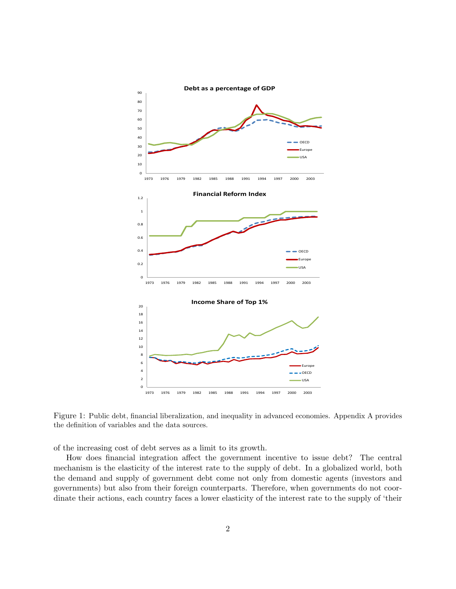

Figure 1: Public debt, financial liberalization, and inequality in advanced economies. Appendix A provides the definition of variables and the data sources.

of the increasing cost of debt serves as a limit to its growth.

How does financial integration affect the government incentive to issue debt? The central mechanism is the elasticity of the interest rate to the supply of debt. In a globalized world, both the demand and supply of government debt come not only from domestic agents (investors and governments) but also from their foreign counterparts. Therefore, when governments do not coordinate their actions, each country faces a lower elasticity of the interest rate to the supply of 'their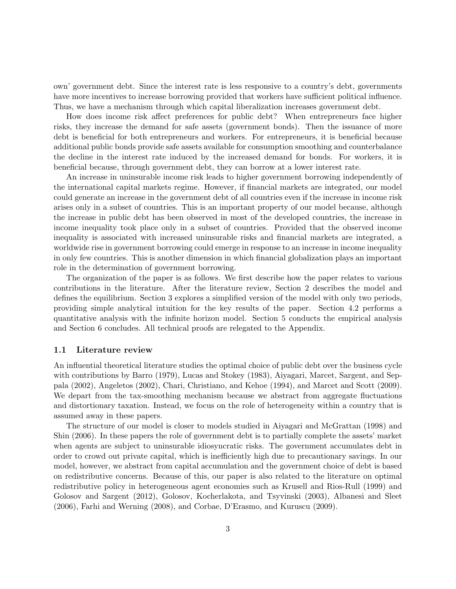own' government debt. Since the interest rate is less responsive to a country's debt, governments have more incentives to increase borrowing provided that workers have sufficient political influence. Thus, we have a mechanism through which capital liberalization increases government debt.

How does income risk affect preferences for public debt? When entrepreneurs face higher risks, they increase the demand for safe assets (government bonds). Then the issuance of more debt is beneficial for both entrepreneurs and workers. For entrepreneurs, it is beneficial because additional public bonds provide safe assets available for consumption smoothing and counterbalance the decline in the interest rate induced by the increased demand for bonds. For workers, it is beneficial because, through government debt, they can borrow at a lower interest rate.

An increase in uninsurable income risk leads to higher government borrowing independently of the international capital markets regime. However, if financial markets are integrated, our model could generate an increase in the government debt of all countries even if the increase in income risk arises only in a subset of countries. This is an important property of our model because, although the increase in public debt has been observed in most of the developed countries, the increase in income inequality took place only in a subset of countries. Provided that the observed income inequality is associated with increased uninsurable risks and financial markets are integrated, a worldwide rise in government borrowing could emerge in response to an increase in income inequality in only few countries. This is another dimension in which financial globalization plays an important role in the determination of government borrowing.

The organization of the paper is as follows. We first describe how the paper relates to various contributions in the literature. After the literature review, Section 2 describes the model and defines the equilibrium. Section 3 explores a simplified version of the model with only two periods, providing simple analytical intuition for the key results of the paper. Section 4.2 performs a quantitative analysis with the infinite horizon model. Section 5 conducts the empirical analysis and Section 6 concludes. All technical proofs are relegated to the Appendix.

### 1.1 Literature review

An influential theoretical literature studies the optimal choice of public debt over the business cycle with contributions by Barro (1979), Lucas and Stokey (1983), Aiyagari, Marcet, Sargent, and Seppala (2002), Angeletos (2002), Chari, Christiano, and Kehoe (1994), and Marcet and Scott (2009). We depart from the tax-smoothing mechanism because we abstract from aggregate fluctuations and distortionary taxation. Instead, we focus on the role of heterogeneity within a country that is assumed away in these papers.

The structure of our model is closer to models studied in Aiyagari and McGrattan (1998) and Shin (2006). In these papers the role of government debt is to partially complete the assets' market when agents are subject to uninsurable idiosyncratic risks. The government accumulates debt in order to crowd out private capital, which is inefficiently high due to precautionary savings. In our model, however, we abstract from capital accumulation and the government choice of debt is based on redistributive concerns. Because of this, our paper is also related to the literature on optimal redistributive policy in heterogeneous agent economies such as Krusell and Rios-Rull (1999) and Golosov and Sargent (2012), Golosov, Kocherlakota, and Tsyvinski (2003), Albanesi and Sleet (2006), Farhi and Werning (2008), and Corbae, D'Erasmo, and Kuruscu (2009).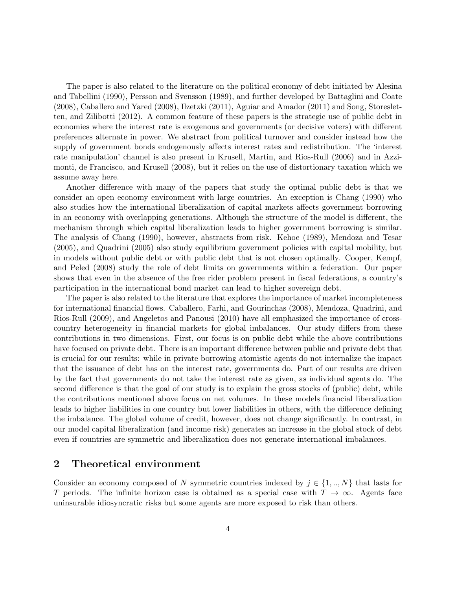The paper is also related to the literature on the political economy of debt initiated by Alesina and Tabellini (1990), Persson and Svensson (1989), and further developed by Battaglini and Coate (2008), Caballero and Yared (2008), Ilzetzki (2011), Aguiar and Amador (2011) and Song, Storesletten, and Zilibotti (2012). A common feature of these papers is the strategic use of public debt in economies where the interest rate is exogenous and governments (or decisive voters) with different preferences alternate in power. We abstract from political turnover and consider instead how the supply of government bonds endogenously affects interest rates and redistribution. The 'interest rate manipulation' channel is also present in Krusell, Martin, and Rios-Rull (2006) and in Azzimonti, de Francisco, and Krusell (2008), but it relies on the use of distortionary taxation which we assume away here.

Another difference with many of the papers that study the optimal public debt is that we consider an open economy environment with large countries. An exception is Chang (1990) who also studies how the international liberalization of capital markets affects government borrowing in an economy with overlapping generations. Although the structure of the model is different, the mechanism through which capital liberalization leads to higher government borrowing is similar. The analysis of Chang (1990), however, abstracts from risk. Kehoe (1989), Mendoza and Tesar (2005), and Quadrini (2005) also study equilibrium government policies with capital mobility, but in models without public debt or with public debt that is not chosen optimally. Cooper, Kempf, and Peled (2008) study the role of debt limits on governments within a federation. Our paper shows that even in the absence of the free rider problem present in fiscal federations, a country's participation in the international bond market can lead to higher sovereign debt.

The paper is also related to the literature that explores the importance of market incompleteness for international financial flows. Caballero, Farhi, and Gourinchas (2008), Mendoza, Quadrini, and Rios-Rull (2009), and Angeletos and Panousi (2010) have all emphasized the importance of crosscountry heterogeneity in financial markets for global imbalances. Our study differs from these contributions in two dimensions. First, our focus is on public debt while the above contributions have focused on private debt. There is an important difference between public and private debt that is crucial for our results: while in private borrowing atomistic agents do not internalize the impact that the issuance of debt has on the interest rate, governments do. Part of our results are driven by the fact that governments do not take the interest rate as given, as individual agents do. The second difference is that the goal of our study is to explain the gross stocks of (public) debt, while the contributions mentioned above focus on net volumes. In these models financial liberalization leads to higher liabilities in one country but lower liabilities in others, with the difference defining the imbalance. The global volume of credit, however, does not change significantly. In contrast, in our model capital liberalization (and income risk) generates an increase in the global stock of debt even if countries are symmetric and liberalization does not generate international imbalances.

## 2 Theoretical environment

Consider an economy composed of N symmetric countries indexed by  $j \in \{1, ..., N\}$  that lasts for T periods. The infinite horizon case is obtained as a special case with  $T \to \infty$ . Agents face uninsurable idiosyncratic risks but some agents are more exposed to risk than others.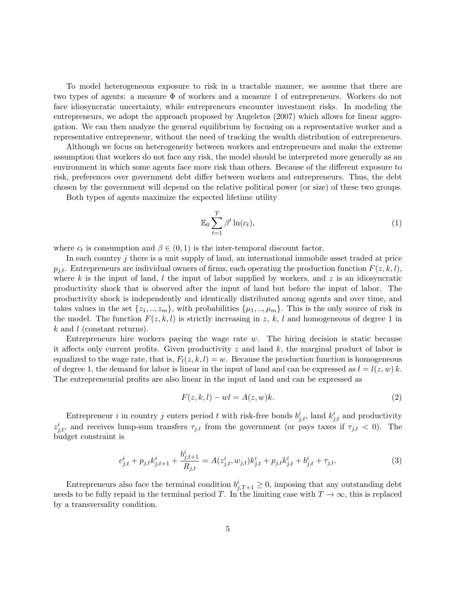To model heterogeneous exposure to risk in a tractable manner, we assume that there are two types of agents: a measure Φ of workers and a measure 1 of entrepreneurs. Workers do not face idiosyncratic uncertainty, while entrepreneurs encounter investment risks. In modeling the entrepreneurs, we adopt the approach proposed by Angeletos (2007) which allows for linear aggregation. We can then analyze the general equilibrium by focusing on a representative worker and a representative entrepreneur, without the need of tracking the wealth distribution of entrepreneurs.

Although we focus on heterogeneity between workers and entrepreneurs and make the extreme assumption that workers do not face any risk, the model should be interpreted more generally as an environment in which some agents face more risk than others. Because of the different exposure to risk, preferences over government debt differ between workers and entrepreneurs. Thus, the debt chosen by the government will depend on the relative political power (or size) of these two groups.

Both types of agents maximize the expected lifetime utility

$$
\mathbb{E}_0 \sum_{t=1}^T \beta^t \ln(c_t),\tag{1}
$$

where  $c_t$  is consumption and  $\beta \in (0,1)$  is the inter-temporal discount factor.

In each country j there is a unit supply of land, an international immobile asset traded at price  $p_{j,t}$ . Entrepreneurs are individual owners of firms, each operating the production function  $F(z, k, l)$ , where k is the input of land, l the input of labor supplied by workers, and z is an idiosyncratic productivity shock that is observed after the input of land but before the input of labor. The productivity shock is independently and identically distributed among agents and over time, and takes values in the set  $\{z_1,..,z_m\}$ , with probabilities  $\{\mu_1,..,\mu_m\}$ . This is the only source of risk in the model. The function  $F(z, k, l)$  is strictly increasing in z, k, l and homogeneous of degree 1 in  $k$  and l (constant returns).

Entrepreneurs hire workers paying the wage rate  $w$ . The hiring decision is static because it affects only current profits. Given productivity  $z$  and land  $k$ , the marginal product of labor is equalized to the wage rate, that is,  $F_l(z, k, l) = w$ . Because the production function is homogeneous of degree 1, the demand for labor is linear in the input of land and can be expressed as  $l = l(z, w) k$ . The entrepreneurial profits are also linear in the input of land and can be expressed as

$$
F(z,k,l) - w l = A(z,w)k.
$$
\n<sup>(2)</sup>

Entrepreneur *i* in country *j* enters period *t* with risk-free bonds  $b_{j,t}^i$ , land  $k_{j,t}^i$  and productivity  $z_{j,t}^i$ , and receives lump-sum transfers  $\tau_{j,t}$  from the government (or pays taxes if  $\tau_{j,t} < 0$ ). The budget constraint is

$$
c_{j,t}^i + p_{j,t}k_{j,t+1}^i + \frac{b_{j,t+1}^i}{R_{j,t}} = A(z_{j,t}^i, w_{j,t})k_{j,t}^i + p_{j,t}k_{j,t}^i + b_{j,t}^i + \tau_{j,t}.
$$
\n(3)

Entrepreneurs also face the terminal condition  $b^i_{j,T+1} \geq 0$ , imposing that any outstanding debt needs to be fully repaid in the terminal period T. In the limiting case with  $T \to \infty$ , this is replaced by a transversality condition.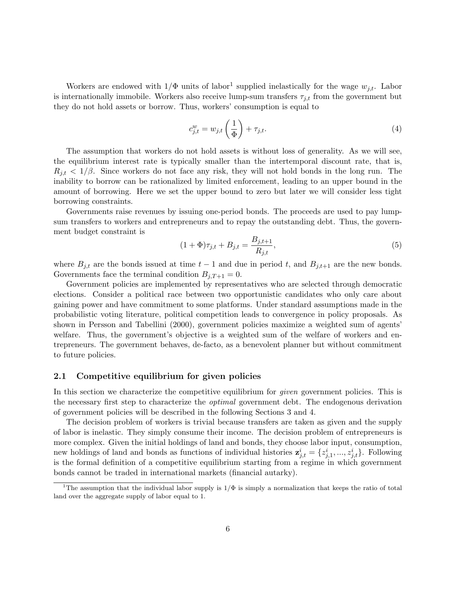Workers are endowed with  $1/\Phi$  units of labor<sup>1</sup> supplied inelastically for the wage  $w_{j,t}$ . Labor is internationally immobile. Workers also receive lump-sum transfers  $\tau_{j,t}$  from the government but they do not hold assets or borrow. Thus, workers' consumption is equal to

$$
c_{j,t}^w = w_{j,t} \left(\frac{1}{\Phi}\right) + \tau_{j,t}.\tag{4}
$$

The assumption that workers do not hold assets is without loss of generality. As we will see, the equilibrium interest rate is typically smaller than the intertemporal discount rate, that is,  $R_{j,t} < 1/\beta$ . Since workers do not face any risk, they will not hold bonds in the long run. The inability to borrow can be rationalized by limited enforcement, leading to an upper bound in the amount of borrowing. Here we set the upper bound to zero but later we will consider less tight borrowing constraints.

Governments raise revenues by issuing one-period bonds. The proceeds are used to pay lumpsum transfers to workers and entrepreneurs and to repay the outstanding debt. Thus, the government budget constraint is

$$
(1+\Phi)\tau_{j,t} + B_{j,t} = \frac{B_{j,t+1}}{R_{j,t}},\tag{5}
$$

where  $B_{j,t}$  are the bonds issued at time  $t-1$  and due in period t, and  $B_{j,t+1}$  are the new bonds. Governments face the terminal condition  $B_{j,T+1} = 0$ .

Government policies are implemented by representatives who are selected through democratic elections. Consider a political race between two opportunistic candidates who only care about gaining power and have commitment to some platforms. Under standard assumptions made in the probabilistic voting literature, political competition leads to convergence in policy proposals. As shown in Persson and Tabellini (2000), government policies maximize a weighted sum of agents' welfare. Thus, the government's objective is a weighted sum of the welfare of workers and entrepreneurs. The government behaves, de-facto, as a benevolent planner but without commitment to future policies.

### 2.1 Competitive equilibrium for given policies

In this section we characterize the competitive equilibrium for *given* government policies. This is the necessary first step to characterize the optimal government debt. The endogenous derivation of government policies will be described in the following Sections 3 and 4.

The decision problem of workers is trivial because transfers are taken as given and the supply of labor is inelastic. They simply consume their income. The decision problem of entrepreneurs is more complex. Given the initial holdings of land and bonds, they choose labor input, consumption, new holdings of land and bonds as functions of individual histories  $\mathbf{z}_{j,t}^i = \{z_{j,1}^i, ..., z_{j,t}^i\}$ . Following is the formal definition of a competitive equilibrium starting from a regime in which government bonds cannot be traded in international markets (financial autarky).

<sup>&</sup>lt;sup>1</sup>The assumption that the individual labor supply is  $1/\Phi$  is simply a normalization that keeps the ratio of total land over the aggregate supply of labor equal to 1.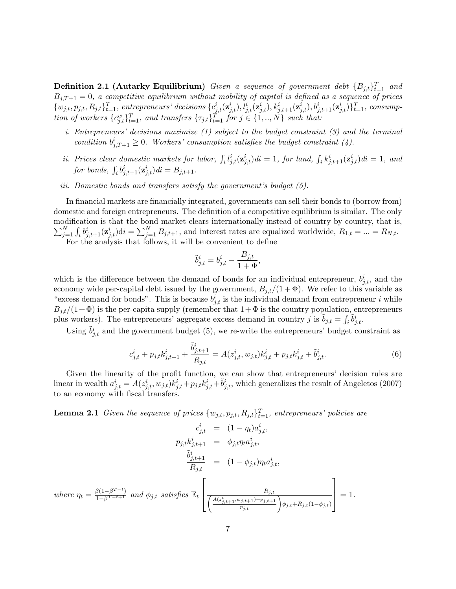**Definition 2.1 (Autarky Equilibrium)** Given a sequence of government debt  $\{B_{j,t}\}_{t=1}^T$  and  $B_{j,T+1} = 0$ , a competitive equilibrium without mobility of capital is defined as a sequence of prices  ${w_{j,t}, p_{j,t}, R_{j,t}}_{t=1}^T$ , entrepreneurs' decisions  ${c_{j,t}^i(\mathbf{z}_{j,t}^i), l_{j,t}^i(\mathbf{z}_{j,t}^i), k_{j,t+1}^i(\mathbf{z}_{j,t}^i), b_{j,t+1}^i(\mathbf{z}_{j,t}^i)\}_{t=1}^T$ , consumption of workers  $\{c_{j,t}^w\}_{t=1}^T$ , and transfers  $\{\tau_{j,t}\}_{t=1}^T$  for  $j \in \{1,..,N\}$  such that:

- i. Entrepreneurs' decisions maximize (1) subject to the budget constraint (3) and the terminal condition  $b_{j,T+1}^i \geq 0$ . Workers' consumption satisfies the budget constraint (4).
- ii. Prices clear domestic markets for labor,  $\int_i l^i_{j,t}(\mathbf{z}_{j,t}^i)di = 1$ , for land,  $\int_i k^i_{j,t+1}(\mathbf{z}_{j,t}^i)di = 1$ , and for bonds,  $\int_{i} b^{i}_{j,t+1}(\mathbf{z}^{i}_{j,t}) dt = B_{j,t+1}$ .
- iii. Domestic bonds and transfers satisfy the government's budget (5).

In financial markets are financially integrated, governments can sell their bonds to (borrow from) domestic and foreign entrepreneurs. The definition of a competitive equilibrium is similar. The only modification is that the bond market clears internationally instead of country by country, that is,  $\sum_{j=1}^N \int_i b_{j,t+1}^i(\mathbf{z}_{j,t}^i) \mathrm{d}i = \sum_{j=1}^N B_{j,t+1}$ , and interest rates are equalized worldwide,  $R_{1,t} = ... = R_{N,t}$ . For the analysis that follows, it will be convenient to define

$$
\tilde{b}^i_{j,t} = b^i_{j,t} - \frac{B_{j,t}}{1+\Phi},
$$

which is the difference between the demand of bonds for an individual entrepreneur,  $b^i_{j,t}$ , and the economy wide per-capital debt issued by the government,  $B_{j,t}/(1+\Phi)$ . We refer to this variable as "excess demand for bonds". This is because  $b_{j,t}^i$  is the individual demand from entrepreneur i while  $B_{j,t}/(1+\Phi)$  is the per-capita supply (remember that  $1+\Phi$  is the country population, entrepreneurs plus workers). The entrepreneurs' aggregate excess demand in country j is  $\tilde{b}_{j,t} = \int_i \tilde{b}_{j,t}^i$ .

Using  $\tilde{b}^i_{j,t}$  and the government budget (5), we re-write the entrepreneurs' budget constraint as

$$
c_{j,t}^i + p_{j,t}k_{j,t+1}^i + \frac{\tilde{b}_{j,t+1}^i}{R_{j,t}} = A(z_{j,t}^i, w_{j,t})k_{j,t}^i + p_{j,t}k_{j,t}^i + \tilde{b}_{j,t}^i.
$$
 (6)

Given the linearity of the profit function, we can show that entrepreneurs' decision rules are linear in wealth  $a_{j,t}^i = A(z_{j,t}^i, w_{j,t})k_{j,t}^i + p_{j,t}k_{j,t}^i + \tilde{b}_{j,t}^i$ , which generalizes the result of Angeletos (2007) to an economy with fiscal transfers.

**Lemma 2.1** Given the sequence of prices  $\{w_{j,t}, p_{j,t}, R_{j,t}\}_{t=1}^T$ , entrepreneurs' policies are

$$
c_{j,t}^{i} = (1 - \eta_{t})a_{j,t}^{i},
$$
  
\n
$$
p_{j,t}k_{j,t+1}^{i} = \phi_{j,t}\eta_{t}a_{j,t}^{i},
$$
  
\n
$$
\frac{\tilde{b}_{j,t+1}^{i}}{R_{j,t}} = (1 - \phi_{j,t})\eta_{t}a_{j,t}^{i},
$$
  
\nwhere  $\eta_{t} = \frac{\beta(1 - \beta^{T-t})}{1 - \beta^{T-t+1}}$  and  $\phi_{j,t}$  satisfies  $\mathbb{E}_{t}\left[\frac{R_{j,t}}{\left(\frac{A(z_{j,t+1}^{i}, w_{j,t+1}) + p_{j,t+1}}{p_{j,t}}\right)\phi_{j,t} + R_{j,t}(1 - \phi_{j,t})}\right] = 1.$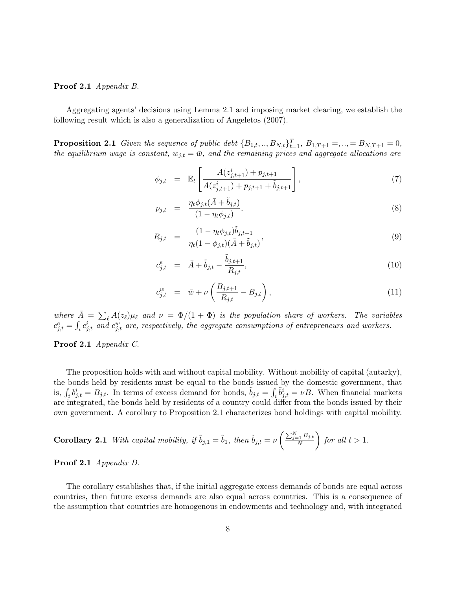#### Proof 2.1 Appendix B.

Aggregating agents' decisions using Lemma 2.1 and imposing market clearing, we establish the following result which is also a generalization of Angeletos (2007).

**Proposition 2.1** Given the sequence of public debt  ${B_{1,t},...,B_{N,t}}_{t=1}^T$ ,  ${B_{1,T+1}} =,...,B_{N,T+1} = 0$ , the equilibrium wage is constant,  $w_{j,t} = \bar{w}$ , and the remaining prices and aggregate allocations are

$$
\phi_{j,t} = \mathbb{E}_t \left[ \frac{A(z_{j,t+1}^i) + p_{j,t+1}}{A(z_{j,t+1}^i) + p_{j,t+1} + \tilde{b}_{j,t+1}} \right],
$$
\n(7)

$$
p_{j,t} = \frac{\eta_t \phi_{j,t}(\bar{A} + \tilde{b}_{j,t})}{(1 - \eta_t \phi_{j,t})},
$$
\n(8)

$$
R_{j,t} = \frac{(1 - \eta_t \phi_{j,t})\tilde{b}_{j,t+1}}{\eta_t (1 - \phi_{j,t})(\bar{A} + \tilde{b}_{j,t})},
$$
\n(9)

$$
c_{j,t}^e = \bar{A} + \tilde{b}_{j,t} - \frac{\tilde{b}_{j,t+1}}{R_{j,t}},
$$
\n(10)

$$
c_{j,t}^w = \bar{w} + \nu \left( \frac{B_{j,t+1}}{R_{j,t}} - B_{j,t} \right), \tag{11}
$$

where  $\bar{A} = \sum_{\ell} A(z_{\ell}) \mu_{\ell}$  and  $\nu = \Phi/(1 + \Phi)$  is the population share of workers. The variables  $c_{j,t}^e = \int_i c_{j,t}^i$  and  $c_{j,t}^w$  are, respectively, the aggregate consumptions of entrepreneurs and workers.

Proof 2.1 Appendix C.

The proposition holds with and without capital mobility. Without mobility of capital (autarky), the bonds held by residents must be equal to the bonds issued by the domestic government, that is,  $\int_i b_{j,t}^i = B_{j,t}$ . In terms of excess demand for bonds,  $\tilde{b}_{j,t} = \int_i \tilde{b}_{j,t}^i = \nu B$ . When financial markets are integrated, the bonds held by residents of a country could differ from the bonds issued by their own government. A corollary to Proposition 2.1 characterizes bond holdings with capital mobility.

Corollary 2.1 *With capital mobility, if* 
$$
\tilde{b}_{j,1} = \tilde{b}_1
$$
, *then*  $\tilde{b}_{j,t} = \nu \left( \frac{\sum_{j=1}^{N} B_{j,t}}{N} \right)$  *for all*  $t > 1$ .

#### Proof 2.1 Appendix D.

The corollary establishes that, if the initial aggregate excess demands of bonds are equal across countries, then future excess demands are also equal across countries. This is a consequence of the assumption that countries are homogenous in endowments and technology and, with integrated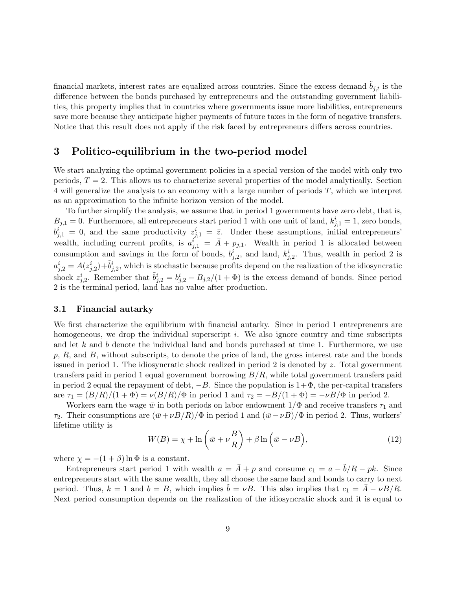financial markets, interest rates are equalized across countries. Since the excess demand  $\tilde{b}_{i,t}$  is the difference between the bonds purchased by entrepreneurs and the outstanding government liabilities, this property implies that in countries where governments issue more liabilities, entrepreneurs save more because they anticipate higher payments of future taxes in the form of negative transfers. Notice that this result does not apply if the risk faced by entrepreneurs differs across countries.

### 3 Politico-equilibrium in the two-period model

We start analyzing the optimal government policies in a special version of the model with only two periods,  $T = 2$ . This allows us to characterize several properties of the model analytically. Section 4 will generalize the analysis to an economy with a large number of periods T, which we interpret as an approximation to the infinite horizon version of the model.

To further simplify the analysis, we assume that in period 1 governments have zero debt, that is,  $B_{j,1} = 0$ . Furthermore, all entrepreneurs start period 1 with one unit of land,  $k_{j,1}^i = 1$ , zero bonds,  $b_{j,1}^i = 0$ , and the same productivity  $z_{j,1}^i = \overline{z}$ . Under these assumptions, initial entrepreneurs' wealth, including current profits, is  $a_{j,1}^i = \bar{A} + p_{j,1}$ . Wealth in period 1 is allocated between consumption and savings in the form of bonds,  $b_{j,2}^i$ , and land,  $k_{j,2}^i$ . Thus, wealth in period 2 is  $a_{j,2}^i = A(z_{j,2}^i) + \tilde{b}_{j,2}^i$ , which is stochastic because profits depend on the realization of the idiosyncratic shock  $z_{j,2}^i$ . Remember that  $\tilde{b}_{j,2}^i = b_{j,2}^i - B_{j,2}/(1+\Phi)$  is the excess demand of bonds. Since period 2 is the terminal period, land has no value after production.

### 3.1 Financial autarky

We first characterize the equilibrium with financial autarky. Since in period 1 entrepreneurs are homogeneous, we drop the individual superscript  $i$ . We also ignore country and time subscripts and let k and b denote the individual land and bonds purchased at time 1. Furthermore, we use  $p, R$ , and  $B$ , without subscripts, to denote the price of land, the gross interest rate and the bonds issued in period 1. The idiosyncratic shock realized in period 2 is denoted by z. Total government transfers paid in period 1 equal government borrowing  $B/R$ , while total government transfers paid in period 2 equal the repayment of debt,  $-B$ . Since the population is  $1+\Phi$ , the per-capital transfers are  $\tau_1 = (B/R)/(1 + \Phi) = \nu(B/R)/\Phi$  in period 1 and  $\tau_2 = -B/(1 + \Phi) = -\nu B/\Phi$  in period 2.

Workers earn the wage  $\bar{w}$  in both periods on labor endowment  $1/\Phi$  and receive transfers  $\tau_1$  and  $\tau_2$ . Their consumptions are  $(\bar{w}+\nu B/R)/\Phi$  in period 1 and  $(\bar{w}-\nu B)/\Phi$  in period 2. Thus, workers' lifetime utility is

$$
W(B) = \chi + \ln\left(\bar{w} + \nu \frac{B}{R}\right) + \beta \ln\left(\bar{w} - \nu B\right),\tag{12}
$$

where  $\chi = -(1 + \beta) \ln \Phi$  is a constant.

Entrepreneurs start period 1 with wealth  $a = \overline{A} + p$  and consume  $c_1 = a - \tilde{b}/R - pk$ . Since entrepreneurs start with the same wealth, they all choose the same land and bonds to carry to next period. Thus,  $k = 1$  and  $b = B$ , which implies  $\tilde{b} = \nu B$ . This also implies that  $c_1 = \bar{A} - \nu B/R$ . Next period consumption depends on the realization of the idiosyncratic shock and it is equal to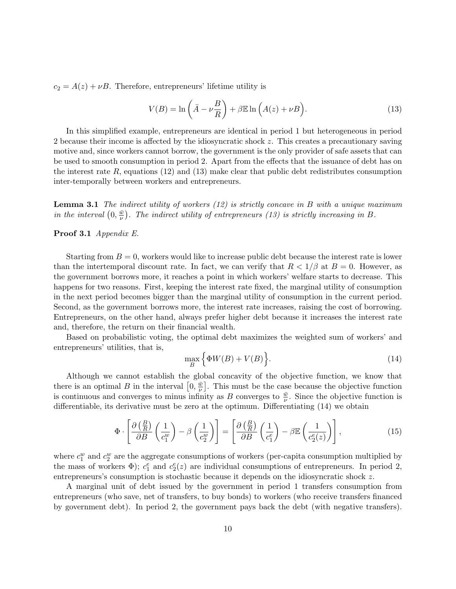$c_2 = A(z) + \nu B$ . Therefore, entrepreneurs' lifetime utility is

$$
V(B) = \ln\left(\bar{A} - \nu \frac{B}{R}\right) + \beta \mathbb{E}\ln\left(A(z) + \nu B\right). \tag{13}
$$

In this simplified example, entrepreneurs are identical in period 1 but heterogeneous in period 2 because their income is affected by the idiosyncratic shock z. This creates a precautionary saving motive and, since workers cannot borrow, the government is the only provider of safe assets that can be used to smooth consumption in period 2. Apart from the effects that the issuance of debt has on the interest rate  $R$ , equations (12) and (13) make clear that public debt redistributes consumption inter-temporally between workers and entrepreneurs.

**Lemma 3.1** The indirect utility of workers  $(12)$  is strictly concave in B with a unique maximum in the interval  $(0, \frac{\bar{w}}{u})$  $\frac{\bar{w}}{w}$ ). The indirect utility of entrepreneurs (13) is strictly increasing in B.

#### Proof 3.1 Appendix E.

Starting from  $B = 0$ , workers would like to increase public debt because the interest rate is lower than the intertemporal discount rate. In fact, we can verify that  $R < 1/\beta$  at  $B = 0$ . However, as the government borrows more, it reaches a point in which workers' welfare starts to decrease. This happens for two reasons. First, keeping the interest rate fixed, the marginal utility of consumption in the next period becomes bigger than the marginal utility of consumption in the current period. Second, as the government borrows more, the interest rate increases, raising the cost of borrowing. Entrepreneurs, on the other hand, always prefer higher debt because it increases the interest rate and, therefore, the return on their financial wealth.

Based on probabilistic voting, the optimal debt maximizes the weighted sum of workers' and entrepreneurs' utilities, that is,

$$
\max_{B} \left\{ \Phi W(B) + V(B) \right\}.
$$
\n(14)

Although we cannot establish the global concavity of the objective function, we know that there is an optimal B in the interval  $[0, \frac{\bar{w}}{w}]$  $\frac{\bar{w}}{w}$ . This must be the case because the objective function is continuous and converges to minus infinity as B converges to  $\frac{\bar{w}}{\nu}$ . Since the objective function is differentiable, its derivative must be zero at the optimum. Differentiating (14) we obtain

$$
\Phi \cdot \left[ \frac{\partial \left( \frac{B}{R} \right)}{\partial B} \left( \frac{1}{c_1^w} \right) - \beta \left( \frac{1}{c_2^w} \right) \right] = \left[ \frac{\partial \left( \frac{B}{R} \right)}{\partial B} \left( \frac{1}{c_1^e} \right) - \beta \mathbb{E} \left( \frac{1}{c_2^e(z)} \right) \right],\tag{15}
$$

where  $c_1^w$  and  $c_2^w$  are the aggregate consumptions of workers (per-capita consumption multiplied by the mass of workers  $\Phi$ );  $c_1^e$  and  $c_2^e(z)$  are individual consumptions of entrepreneurs. In period 2, entrepreneurs's consumption is stochastic because it depends on the idiosyncratic shock z.

A marginal unit of debt issued by the government in period 1 transfers consumption from entrepreneurs (who save, net of transfers, to buy bonds) to workers (who receive transfers financed by government debt). In period 2, the government pays back the debt (with negative transfers).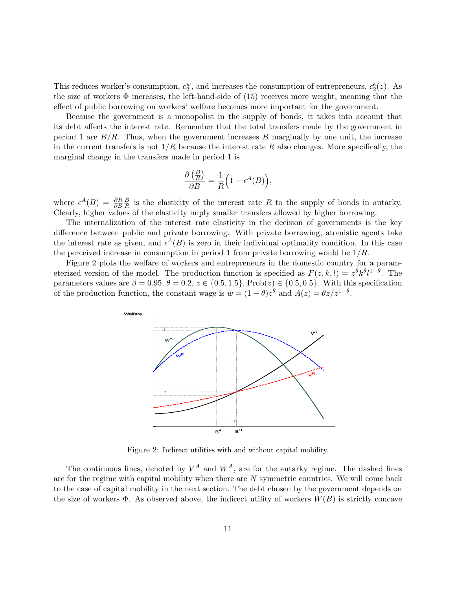This reduces worker's consumption,  $c_2^w$ , and increases the consumption of entrepreneurs,  $c_2^e(z)$ . As the size of workers  $\Phi$  increases, the left-hand-side of (15) receives more weight, meaning that the effect of public borrowing on workers' welfare becomes more important for the government.

Because the government is a monopolist in the supply of bonds, it takes into account that its debt affects the interest rate. Remember that the total transfers made by the government in period 1 are  $B/R$ . Thus, when the government increases B marginally by one unit, the increase in the current transfers is not  $1/R$  because the interest rate R also changes. More specifically, the marginal change in the transfers made in period 1 is

$$
\frac{\partial \left(\frac{B}{R}\right)}{\partial B} = \frac{1}{R}\Big(1-\epsilon^A(B)\Big),
$$

where  $\epsilon^A(B) = \frac{\partial R}{\partial B}$ B  $\frac{B}{R}$  is the elasticity of the interest rate R to the supply of bonds in autarky. Clearly, higher values of the elasticity imply smaller transfers allowed by higher borrowing.

The internalization of the interest rate elasticity in the decision of governments is the key difference between public and private borrowing. With private borrowing, atomistic agents take the interest rate as given, and  $\epsilon^{A}(B)$  is zero in their individual optimality condition. In this case the perceived increase in consumption in period 1 from private borrowing would be  $1/R$ .

Figure 2 plots the welfare of workers and entrepreneurs in the domestic country for a parameterized version of the model. The production function is specified as  $F(z, k, l) = z^{\theta} k^{\theta} l^{1-\theta}$ . The parameters values are  $\beta = 0.95$ ,  $\theta = 0.2$ ,  $z \in \{0.5, 1.5\}$ , Prob( $z \in \{0.5, 0.5\}$ . With this specification of the production function, the constant wage is  $\bar{w} = (1 - \theta)\bar{z}^{\theta}$  and  $A(z) = \theta z/\bar{z}^{1-\theta}$ .



Figure 2: Indirect utilities with and without capital mobility.

The continuous lines, denoted by  $V^A$  and  $W^A$ , are for the autarky regime. The dashed lines are for the regime with capital mobility when there are  $N$  symmetric countries. We will come back to the case of capital mobility in the next section. The debt chosen by the government depends on the size of workers  $\Phi$ . As observed above, the indirect utility of workers  $W(B)$  is strictly concave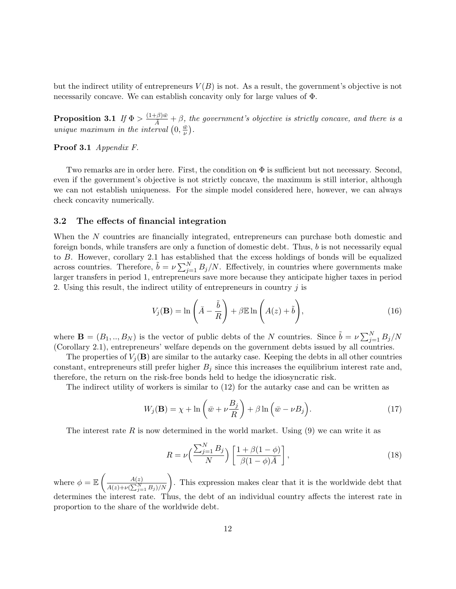but the indirect utility of entrepreneurs  $V(B)$  is not. As a result, the government's objective is not necessarily concave. We can establish concavity only for large values of Φ.

**Proposition 3.1** If  $\Phi > \frac{(1+\beta)\bar{w}}{\bar{A}} + \beta$ , the government's objective is strictly concave, and there is a unique maximum in the interval  $(0, \frac{\bar{w}}{u})$  $\frac{\bar{w}}{\nu}$ ).

### Proof 3.1 Appendix F.

Two remarks are in order here. First, the condition on  $\Phi$  is sufficient but not necessary. Second, even if the government's objective is not strictly concave, the maximum is still interior, although we can not establish uniqueness. For the simple model considered here, however, we can always check concavity numerically.

### 3.2 The effects of financial integration

When the N countries are financially integrated, entrepreneurs can purchase both domestic and foreign bonds, while transfers are only a function of domestic debt. Thus, b is not necessarily equal to B. However, corollary 2.1 has established that the excess holdings of bonds will be equalized across countries. Therefore,  $\tilde{b} = \nu \sum_{j=1}^{N} B_j/N$ . Effectively, in countries where governments make larger transfers in period 1, entrepreneurs save more because they anticipate higher taxes in period 2. Using this result, the indirect utility of entrepreneurs in country  $\hat{\jmath}$  is

$$
V_j(\mathbf{B}) = \ln\left(\bar{A} - \frac{\tilde{b}}{R}\right) + \beta \mathbb{E}\ln\left(A(z) + \tilde{b}\right),\tag{16}
$$

where  $\mathbf{B} = (B_1, ..., B_N)$  is the vector of public debts of the N countries. Since  $\tilde{b} = \nu \sum_{j=1}^{N} B_j/N$ (Corollary 2.1), entrepreneurs' welfare depends on the government debts issued by all countries.

The properties of  $V_i(\mathbf{B})$  are similar to the autarky case. Keeping the debts in all other countries constant, entrepreneurs still prefer higher  $B_j$  since this increases the equilibrium interest rate and, therefore, the return on the risk-free bonds held to hedge the idiosyncratic risk.

The indirect utility of workers is similar to (12) for the autarky case and can be written as

$$
W_j(\mathbf{B}) = \chi + \ln\left(\bar{w} + \nu \frac{B_j}{R}\right) + \beta \ln\left(\bar{w} - \nu B_j\right). \tag{17}
$$

The interest rate R is now determined in the world market. Using  $(9)$  we can write it as

$$
R = \nu \left(\frac{\sum_{j=1}^{N} B_j}{N}\right) \left[\frac{1 + \beta(1 - \phi)}{\beta(1 - \phi)\bar{A}}\right],\tag{18}
$$

where  $\phi = \mathbb{E}\left(\frac{A(z)}{A(z)+\mu\sqrt{\sum_{i=1}^{N}}}\right)$  $\frac{A(z)}{A(z)+\nu(\sum_{j=1}^{N}B_j)/N}$ . This expression makes clear that it is the worldwide debt that determines the interest rate. Thus, the debt of an individual country affects the interest rate in proportion to the share of the worldwide debt.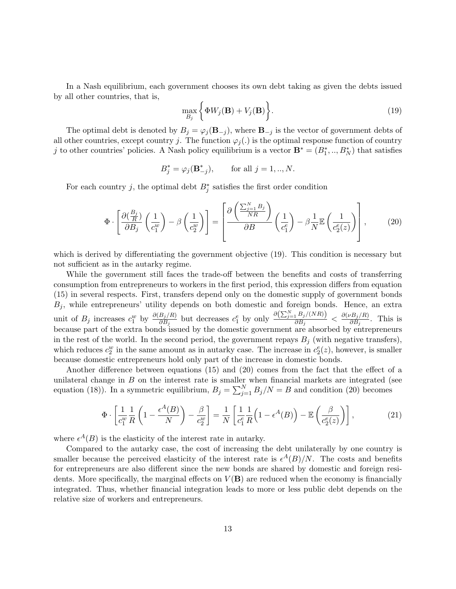In a Nash equilibrium, each government chooses its own debt taking as given the debts issued by all other countries, that is,

$$
\max_{B_j} \left\{ \Phi W_j(\mathbf{B}) + V_j(\mathbf{B}) \right\}.
$$
\n(19)

The optimal debt is denoted by  $B_j = \varphi_j(\mathbf{B}_{-j})$ , where  $\mathbf{B}_{-j}$  is the vector of government debts of all other countries, except country j. The function  $\varphi_i(.)$  is the optimal response function of country j to other countries' policies. A Nash policy equilibrium is a vector  $\mathbf{B}^* = (B_1^*, \dots, B_N^*)$  that satisfies

$$
B_j^* = \varphi_j(\mathbf{B}_{-j}^*), \quad \text{for all } j = 1,..,N.
$$

For each country j, the optimal debt  $B_j^*$  satisfies the first order condition

$$
\Phi \cdot \left[ \frac{\partial \left( \frac{B_j}{R} \right)}{\partial B_j} \left( \frac{1}{c_1^w} \right) - \beta \left( \frac{1}{c_2^w} \right) \right] = \left[ \frac{\partial \left( \frac{\sum_{j=1}^N B_j}{NR} \right)}{\partial B} \left( \frac{1}{c_1^e} \right) - \beta \frac{1}{N} \mathbb{E} \left( \frac{1}{c_2^e(z)} \right) \right],\tag{20}
$$

which is derived by differentiating the government objective (19). This condition is necessary but not sufficient as in the autarky regime.

While the government still faces the trade-off between the benefits and costs of transferring consumption from entrepreneurs to workers in the first period, this expression differs from equation (15) in several respects. First, transfers depend only on the domestic supply of government bonds  $B_j$ , while entrepreneurs' utility depends on both domestic and foreign bonds. Hence, an extra unit of  $B_j$  increases  $c_1^w$  by  $\frac{\partial (B_j/R)}{\partial B_j}$  but decreases  $c_1^e$  by only  $\frac{\partial (\sum_{j=1}^N B_j/(NR))}{\partial B_j}$  $\frac{1}{\partial B_j} \frac{B_j/(NR))}{\partial B_j} < \frac{\partial (\nu B_j/R)}{\partial B_j}$  $\frac{\partial B_j(n)}{\partial B_j}$ . This is because part of the extra bonds issued by the domestic government are absorbed by entrepreneurs in the rest of the world. In the second period, the government repays  $B_j$  (with negative transfers), which reduces  $c_2^w$  in the same amount as in autarky case. The increase in  $c_2^e(z)$ , however, is smaller because domestic entrepreneurs hold only part of the increase in domestic bonds.

Another difference between equations (15) and (20) comes from the fact that the effect of a unilateral change in  $B$  on the interest rate is smaller when financial markets are integrated (see equation (18)). In a symmetric equilibrium,  $B_j = \sum_{j=1}^{N} B_j/N = B$  and condition (20) becomes

$$
\Phi \cdot \left[ \frac{1}{c_1^w} \frac{1}{R} \left( 1 - \frac{\epsilon^A(B)}{N} \right) - \frac{\beta}{c_2^w} \right] = \frac{1}{N} \left[ \frac{1}{c_1^e} \frac{1}{R} \left( 1 - \epsilon^A(B) \right) - \mathbb{E} \left( \frac{\beta}{c_2^e(z)} \right) \right],\tag{21}
$$

where  $\epsilon^{A}(B)$  is the elasticity of the interest rate in autarky.

Compared to the autarky case, the cost of increasing the debt unilaterally by one country is smaller because the perceived elasticity of the interest rate is  $\epsilon^{A}(B)/N$ . The costs and benefits for entrepreneurs are also different since the new bonds are shared by domestic and foreign residents. More specifically, the marginal effects on  $V(\mathbf{B})$  are reduced when the economy is financially integrated. Thus, whether financial integration leads to more or less public debt depends on the relative size of workers and entrepreneurs.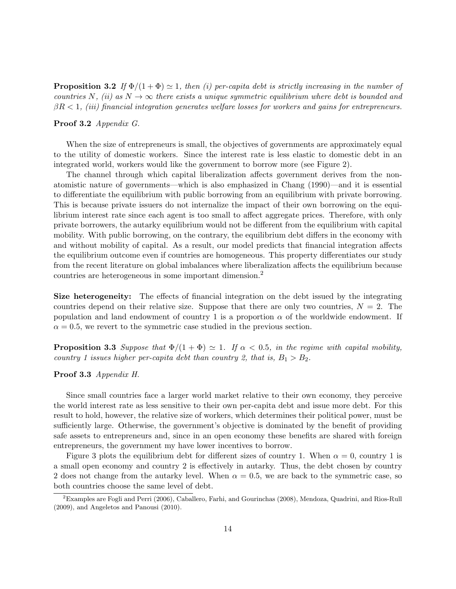**Proposition 3.2** If  $\Phi/(1+\Phi) \simeq 1$ , then (i) per-capita debt is strictly increasing in the number of countries N, (ii) as  $N \to \infty$  there exists a unique symmetric equilibrium where debt is bounded and  $\beta R < 1$ , (iii) financial integration generates welfare losses for workers and gains for entrepreneurs.

#### Proof 3.2 Appendix G.

When the size of entrepreneurs is small, the objectives of governments are approximately equal to the utility of domestic workers. Since the interest rate is less elastic to domestic debt in an integrated world, workers would like the government to borrow more (see Figure 2).

The channel through which capital liberalization affects government derives from the nonatomistic nature of governments—which is also emphasized in Chang (1990)—and it is essential to differentiate the equilibrium with public borrowing from an equilibrium with private borrowing. This is because private issuers do not internalize the impact of their own borrowing on the equilibrium interest rate since each agent is too small to affect aggregate prices. Therefore, with only private borrowers, the autarky equilibrium would not be different from the equilibrium with capital mobility. With public borrowing, on the contrary, the equilibrium debt differs in the economy with and without mobility of capital. As a result, our model predicts that financial integration affects the equilibrium outcome even if countries are homogeneous. This property differentiates our study from the recent literature on global imbalances where liberalization affects the equilibrium because countries are heterogeneous in some important dimension.<sup>2</sup>

Size heterogeneity: The effects of financial integration on the debt issued by the integrating countries depend on their relative size. Suppose that there are only two countries,  $N = 2$ . The population and land endowment of country 1 is a proportion  $\alpha$  of the worldwide endowment. If  $\alpha = 0.5$ , we revert to the symmetric case studied in the previous section.

**Proposition 3.3** Suppose that  $\Phi/(1+\Phi) \simeq 1$ . If  $\alpha < 0.5$ , in the regime with capital mobility, country 1 issues higher per-capita debt than country 2, that is,  $B_1 > B_2$ .

#### Proof 3.3 Appendix H.

Since small countries face a larger world market relative to their own economy, they perceive the world interest rate as less sensitive to their own per-capita debt and issue more debt. For this result to hold, however, the relative size of workers, which determines their political power, must be sufficiently large. Otherwise, the government's objective is dominated by the benefit of providing safe assets to entrepreneurs and, since in an open economy these benefits are shared with foreign entrepreneurs, the government my have lower incentives to borrow.

Figure 3 plots the equilibrium debt for different sizes of country 1. When  $\alpha = 0$ , country 1 is a small open economy and country 2 is effectively in autarky. Thus, the debt chosen by country 2 does not change from the autarky level. When  $\alpha = 0.5$ , we are back to the symmetric case, so both countries choose the same level of debt.

 ${}^{2}$ Examples are Fogli and Perri (2006), Caballero, Farhi, and Gourinchas (2008), Mendoza, Quadrini, and Rios-Rull (2009), and Angeletos and Panousi (2010).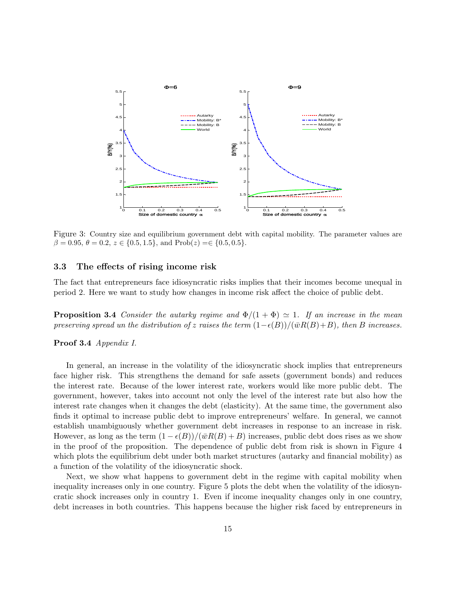

Figure 3: Country size and equilibrium government debt with capital mobility. The parameter values are  $\beta = 0.95, \, \theta = 0.2, \, z \in \{0.5, 1.5\}, \, \text{and Prob}(z) = \{0.5, 0.5\}.$ 

### 3.3 The effects of rising income risk

The fact that entrepreneurs face idiosyncratic risks implies that their incomes become unequal in period 2. Here we want to study how changes in income risk affect the choice of public debt.

**Proposition 3.4** Consider the autarky regime and  $\Phi/(1+\Phi) \simeq 1$ . If an increase in the mean preserving spread un the distribution of z raises the term  $(1-\epsilon(B))/(\bar{w}R(B)+B)$ , then B increases.

#### Proof 3.4 Appendix I.

In general, an increase in the volatility of the idiosyncratic shock implies that entrepreneurs face higher risk. This strengthens the demand for safe assets (government bonds) and reduces the interest rate. Because of the lower interest rate, workers would like more public debt. The government, however, takes into account not only the level of the interest rate but also how the interest rate changes when it changes the debt (elasticity). At the same time, the government also finds it optimal to increase public debt to improve entrepreneurs' welfare. In general, we cannot establish unambiguously whether government debt increases in response to an increase in risk. However, as long as the term  $(1 - \epsilon(B))/(wR(B) + B)$  increases, public debt does rises as we show in the proof of the proposition. The dependence of public debt from risk is shown in Figure 4 which plots the equilibrium debt under both market structures (autarky and financial mobility) as a function of the volatility of the idiosyncratic shock.

Next, we show what happens to government debt in the regime with capital mobility when inequality increases only in one country. Figure 5 plots the debt when the volatility of the idiosyncratic shock increases only in country 1. Even if income inequality changes only in one country, debt increases in both countries. This happens because the higher risk faced by entrepreneurs in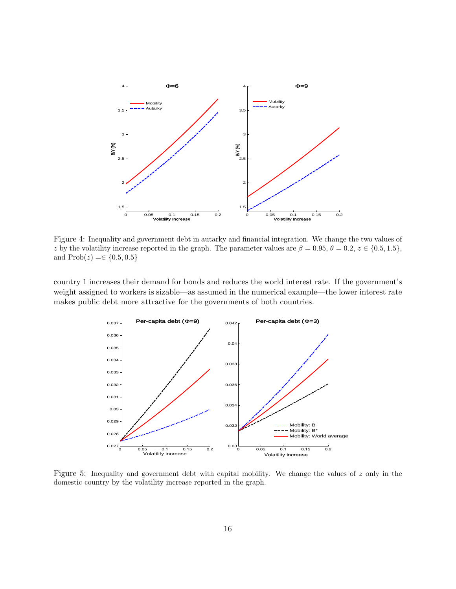

Figure 4: Inequality and government debt in autarky and financial integration. We change the two values of z by the volatility increase reported in the graph. The parameter values are  $\beta = 0.95, \theta = 0.2, z \in \{0.5, 1.5\}$ , and  $Prob(z) = \{0.5, 0.5\}$ 

country 1 increases their demand for bonds and reduces the world interest rate. If the government's weight assigned to workers is sizable—as assumed in the numerical example—the lower interest rate makes public debt more attractive for the governments of both countries.



Figure 5: Inequality and government debt with capital mobility. We change the values of z only in the domestic country by the volatility increase reported in the graph.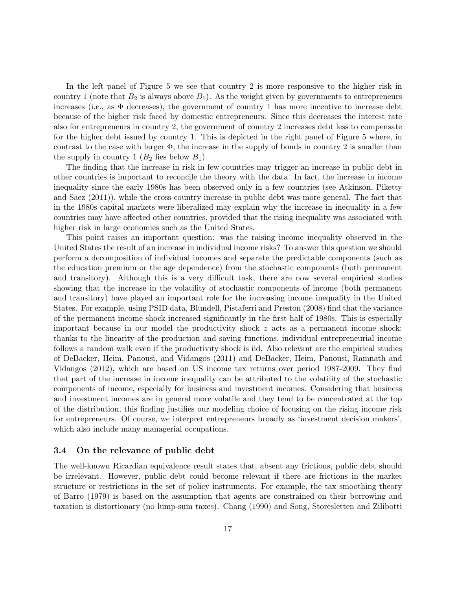In the left panel of Figure 5 we see that country 2 is more responsive to the higher risk in country 1 (note that  $B_2$  is always above  $B_1$ ). As the weight given by governments to entrepreneurs increases (i.e., as  $\Phi$  decreases), the government of country 1 has more incentive to increase debt because of the higher risk faced by domestic entrepreneurs. Since this decreases the interest rate also for entrepreneurs in country 2, the government of country 2 increases debt less to compensate for the higher debt issued by country 1. This is depicted in the right panel of Figure 5 where, in contrast to the case with larger  $\Phi$ , the increase in the supply of bonds in country 2 is smaller than the supply in country 1  $(B_2$  lies below  $B_1$ ).

The finding that the increase in risk in few countries may trigger an increase in public debt in other countries is important to reconcile the theory with the data. In fact, the increase in income inequality since the early 1980s has been observed only in a few countries (see Atkinson, Piketty and Saez (2011)), while the cross-country increase in public debt was more general. The fact that in the 1980s capital markets were liberalized may explain why the increase in inequality in a few countries may have affected other countries, provided that the rising inequality was associated with higher risk in large economies such as the United States.

This point raises an important question: was the raising income inequality observed in the United States the result of an increase in individual income risks? To answer this question we should perform a decomposition of individual incomes and separate the predictable components (such as the education premium or the age dependence) from the stochastic components (both permanent and transitory). Although this is a very difficult task, there are now several empirical studies showing that the increase in the volatility of stochastic components of income (both permanent and transitory) have played an important role for the increasing income inequality in the United States. For example, using PSID data, Blundell, Pistaferri and Preston (2008) find that the variance of the permanent income shock increased significantly in the first half of 1980s. This is especially important because in our model the productivity shock  $z$  acts as a permanent income shock: thanks to the linearity of the production and saving functions, individual entrepreneurial income follows a random walk even if the productivity shock is iid. Also relevant are the empirical studies of DeBacker, Heim, Panousi, and Vidangos (2011) and DeBacker, Heim, Panousi, Ramnath and Vidangos (2012), which are based on US income tax returns over period 1987-2009. They find that part of the increase in income inequality can be attributed to the volatility of the stochastic components of income, especially for business and investment incomes. Considering that business and investment incomes are in general more volatile and they tend to be concentrated at the top of the distribution, this finding justifies our modeling choice of focusing on the rising income risk for entrepreneurs. Of course, we interpret entrepreneurs broadly as 'investment decision makers', which also include many managerial occupations.

### 3.4 On the relevance of public debt

The well-known Ricardian equivalence result states that, absent any frictions, public debt should be irrelevant. However, public debt could become relevant if there are frictions in the market structure or restrictions in the set of policy instruments. For example, the tax smoothing theory of Barro (1979) is based on the assumption that agents are constrained on their borrowing and taxation is distortionary (no lump-sum taxes). Chang (1990) and Song, Storesletten and Zilibotti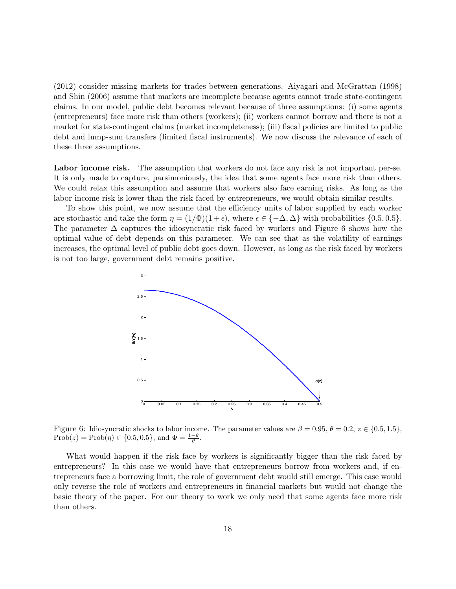(2012) consider missing markets for trades between generations. Aiyagari and McGrattan (1998) and Shin (2006) assume that markets are incomplete because agents cannot trade state-contingent claims. In our model, public debt becomes relevant because of three assumptions: (i) some agents (entrepreneurs) face more risk than others (workers); (ii) workers cannot borrow and there is not a market for state-contingent claims (market incompleteness); (iii) fiscal policies are limited to public debt and lump-sum transfers (limited fiscal instruments). We now discuss the relevance of each of these three assumptions.

Labor income risk. The assumption that workers do not face any risk is not important per-se. It is only made to capture, parsimoniously, the idea that some agents face more risk than others. We could relax this assumption and assume that workers also face earning risks. As long as the labor income risk is lower than the risk faced by entrepreneurs, we would obtain similar results.

To show this point, we now assume that the efficiency units of labor supplied by each worker are stochastic and take the form  $\eta = (1/\Phi)(1+\epsilon)$ , where  $\epsilon \in \{-\Delta, \Delta\}$  with probabilities  $\{0.5, 0.5\}$ . The parameter  $\Delta$  captures the idiosyncratic risk faced by workers and Figure 6 shows how the optimal value of debt depends on this parameter. We can see that as the volatility of earnings increases, the optimal level of public debt goes down. However, as long as the risk faced by workers is not too large, government debt remains positive.



Figure 6: Idiosyncratic shocks to labor income. The parameter values are  $\beta = 0.95$ ,  $\theta = 0.2$ ,  $z \in \{0.5, 1.5\}$ , Prob(z) = Prob( $\eta$ )  $\in \{0.5, 0.5\}$ , and  $\Phi = \frac{1-\theta}{\theta}$ .

What would happen if the risk face by workers is significantly bigger than the risk faced by entrepreneurs? In this case we would have that entrepreneurs borrow from workers and, if entrepreneurs face a borrowing limit, the role of government debt would still emerge. This case would only reverse the role of workers and entrepreneurs in financial markets but would not change the basic theory of the paper. For our theory to work we only need that some agents face more risk than others.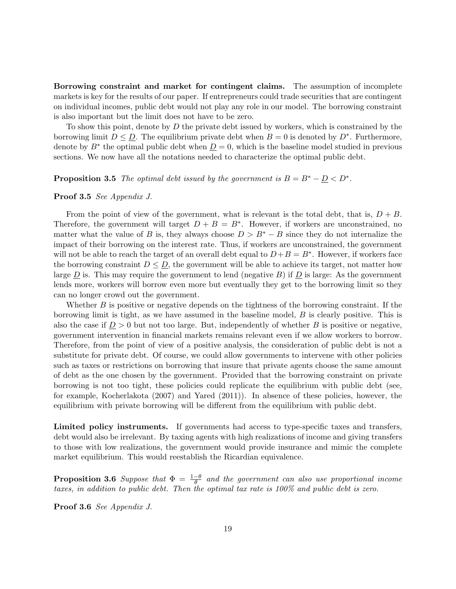Borrowing constraint and market for contingent claims. The assumption of incomplete markets is key for the results of our paper. If entrepreneurs could trade securities that are contingent on individual incomes, public debt would not play any role in our model. The borrowing constraint is also important but the limit does not have to be zero.

To show this point, denote by D the private debt issued by workers, which is constrained by the borrowing limit  $D \leq D$ . The equilibrium private debt when  $B = 0$  is denoted by  $D^*$ . Furthermore, denote by  $B^*$  the optimal public debt when  $\underline{D} = 0$ , which is the baseline model studied in previous sections. We now have all the notations needed to characterize the optimal public debt.

### **Proposition 3.5** The optimal debt issued by the government is  $B = B^* - \underline{D} < D^*$ .

### Proof 3.5 See Appendix J.

From the point of view of the government, what is relevant is the total debt, that is,  $D + B$ . Therefore, the government will target  $D + B = B^*$ . However, if workers are unconstrained, no matter what the value of B is, they always choose  $D > B^* - B$  since they do not internalize the impact of their borrowing on the interest rate. Thus, if workers are unconstrained, the government will not be able to reach the target of an overall debt equal to  $D+B=B^*$ . However, if workers face the borrowing constraint  $D \leq D$ , the government will be able to achieve its target, not matter how large D is. This may require the government to lend (negative  $B$ ) if D is large: As the government lends more, workers will borrow even more but eventually they get to the borrowing limit so they can no longer crowd out the government.

Whether B is positive or negative depends on the tightness of the borrowing constraint. If the borrowing limit is tight, as we have assumed in the baseline model,  $B$  is clearly positive. This is also the case if  $D > 0$  but not too large. But, independently of whether B is positive or negative, government intervention in financial markets remains relevant even if we allow workers to borrow. Therefore, from the point of view of a positive analysis, the consideration of public debt is not a substitute for private debt. Of course, we could allow governments to intervene with other policies such as taxes or restrictions on borrowing that insure that private agents choose the same amount of debt as the one chosen by the government. Provided that the borrowing constraint on private borrowing is not too tight, these policies could replicate the equilibrium with public debt (see, for example, Kocherlakota (2007) and Yared (2011)). In absence of these policies, however, the equilibrium with private borrowing will be different from the equilibrium with public debt.

Limited policy instruments. If governments had access to type-specific taxes and transfers, debt would also be irrelevant. By taxing agents with high realizations of income and giving transfers to those with low realizations, the government would provide insurance and mimic the complete market equilibrium. This would reestablish the Ricardian equivalence.

**Proposition 3.6** Suppose that  $\Phi = \frac{1-\theta}{\theta}$  and the government can also use proportional income taxes, in addition to public debt. Then the optimal tax rate is 100% and public debt is zero.

Proof 3.6 See Appendix J.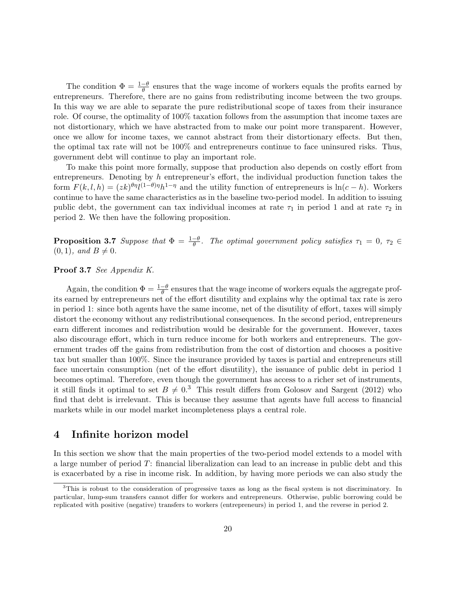The condition  $\Phi = \frac{1-\theta}{\theta}$  ensures that the wage income of workers equals the profits earned by entrepreneurs. Therefore, there are no gains from redistributing income between the two groups. In this way we are able to separate the pure redistributional scope of taxes from their insurance role. Of course, the optimality of 100% taxation follows from the assumption that income taxes are not distortionary, which we have abstracted from to make our point more transparent. However, once we allow for income taxes, we cannot abstract from their distortionary effects. But then, the optimal tax rate will not be 100% and entrepreneurs continue to face uninsured risks. Thus, government debt will continue to play an important role.

To make this point more formally, suppose that production also depends on costly effort from entrepreneurs. Denoting by  $h$  entrepreneur's effort, the individual production function takes the form  $F(k, l, h) = (zk)^{\theta \eta} l^{(1-\theta)\eta} h^{1-\eta}$  and the utility function of entrepreneurs is  $\ln(c-h)$ . Workers continue to have the same characteristics as in the baseline two-period model. In addition to issuing public debt, the government can tax individual incomes at rate  $\tau_1$  in period 1 and at rate  $\tau_2$  in period 2. We then have the following proposition.

**Proposition 3.7** Suppose that  $\Phi = \frac{1-\theta}{\theta}$ . The optimal government policy satisfies  $\tau_1 = 0$ ,  $\tau_2 \in$  $(0, 1)$ , and  $B \neq 0$ .

Proof 3.7 See Appendix K.

Again, the condition  $\Phi = \frac{1-\theta}{\theta}$  ensures that the wage income of workers equals the aggregate profits earned by entrepreneurs net of the effort disutility and explains why the optimal tax rate is zero in period 1: since both agents have the same income, net of the disutility of effort, taxes will simply distort the economy without any redistributional consequences. In the second period, entrepreneurs earn different incomes and redistribution would be desirable for the government. However, taxes also discourage effort, which in turn reduce income for both workers and entrepreneurs. The government trades off the gains from redistribution from the cost of distortion and chooses a positive tax but smaller than 100%. Since the insurance provided by taxes is partial and entrepreneurs still face uncertain consumption (net of the effort disutility), the issuance of public debt in period 1 becomes optimal. Therefore, even though the government has access to a richer set of instruments, it still finds it optimal to set  $B \neq 0.3$  This result differs from Golosov and Sargent (2012) who find that debt is irrelevant. This is because they assume that agents have full access to financial markets while in our model market incompleteness plays a central role.

## 4 Infinite horizon model

In this section we show that the main properties of the two-period model extends to a model with a large number of period T: financial liberalization can lead to an increase in public debt and this is exacerbated by a rise in income risk. In addition, by having more periods we can also study the

<sup>&</sup>lt;sup>3</sup>This is robust to the consideration of progressive taxes as long as the fiscal system is not discriminatory. In particular, lump-sum transfers cannot differ for workers and entrepreneurs. Otherwise, public borrowing could be replicated with positive (negative) transfers to workers (entrepreneurs) in period 1, and the reverse in period 2.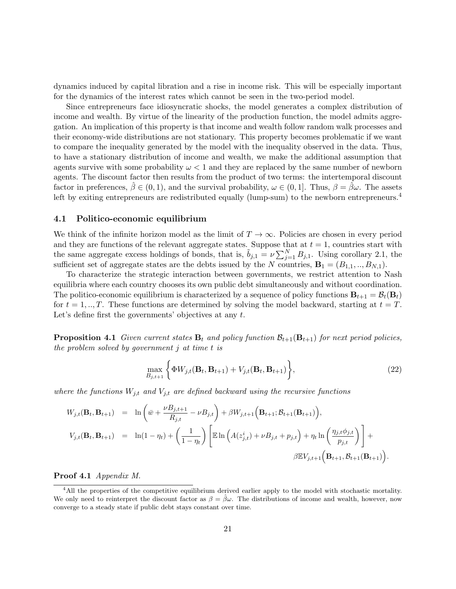dynamics induced by capital libration and a rise in income risk. This will be especially important for the dynamics of the interest rates which cannot be seen in the two-period model.

Since entrepreneurs face idiosyncratic shocks, the model generates a complex distribution of income and wealth. By virtue of the linearity of the production function, the model admits aggregation. An implication of this property is that income and wealth follow random walk processes and their economy-wide distributions are not stationary. This property becomes problematic if we want to compare the inequality generated by the model with the inequality observed in the data. Thus, to have a stationary distribution of income and wealth, we make the additional assumption that agents survive with some probability  $\omega < 1$  and they are replaced by the same number of newborn agents. The discount factor then results from the product of two terms: the intertemporal discount factor in preferences,  $\hat{\beta} \in (0,1)$ , and the survival probability,  $\omega \in (0,1]$ . Thus,  $\beta = \hat{\beta}\omega$ . The assets left by exiting entrepreneurs are redistributed equally (lump-sum) to the newborn entrepreneurs.<sup>4</sup>

#### 4.1 Politico-economic equilibrium

We think of the infinite horizon model as the limit of  $T \to \infty$ . Policies are chosen in every period and they are functions of the relevant aggregate states. Suppose that at  $t = 1$ , countries start with the same aggregate excess holdings of bonds, that is,  $\tilde{b}_{j,1} = \nu \sum_{j=1}^{N} B_{j,1}$ . Using corollary 2.1, the sufficient set of aggregate states are the debts issued by the N countries,  $\mathbf{B}_1 = (B_{1,1},...,B_{N,1}).$ 

To characterize the strategic interaction between governments, we restrict attention to Nash equilibria where each country chooses its own public debt simultaneously and without coordination. The politico-economic equilibrium is characterized by a sequence of policy functions  $\mathbf{B}_{t+1} = \mathcal{B}_t(\mathbf{B}_t)$ for  $t = 1, ..., T$ . These functions are determined by solving the model backward, starting at  $t = T$ . Let's define first the governments' objectives at any t.

**Proposition 4.1** Given current states  $B_t$  and policy function  $B_{t+1}(B_{t+1})$  for next period policies, the problem solved by government  $j$  at time  $t$  is

$$
\max_{B_{j,t+1}} \left\{ \Phi W_{j,t}(\mathbf{B}_t, \mathbf{B}_{t+1}) + V_{j,t}(\mathbf{B}_t, \mathbf{B}_{t+1}) \right\},\tag{22}
$$

where the functions  $W_{j,t}$  and  $V_{j,t}$  are defined backward using the recursive functions

$$
W_{j,t}(\mathbf{B}_t, \mathbf{B}_{t+1}) = \ln \left( \bar{w} + \frac{\nu B_{j,t+1}}{R_{j,t}} - \nu B_{j,t} \right) + \beta W_{j,t+1} \left( \mathbf{B}_{t+1}; \mathcal{B}_{t+1}(\mathbf{B}_{t+1}) \right),
$$
  

$$
V_{j,t}(\mathbf{B}_t, \mathbf{B}_{t+1}) = \ln(1 - \eta_t) + \left( \frac{1}{1 - \eta_t} \right) \left[ \mathbb{E} \ln \left( A(z_{j,t}^i) + \nu B_{j,t} + p_{j,t} \right) + \eta_t \ln \left( \frac{\eta_{j,t} \phi_{j,t}}{p_{j,t}} \right) \right] +
$$
  

$$
\beta \mathbb{E} V_{j,t+1} \left( \mathbf{B}_{t+1}, \mathcal{B}_{t+1}(\mathbf{B}_{t+1}) \right).
$$

#### Proof 4.1 Appendix M.

<sup>&</sup>lt;sup>4</sup>All the properties of the competitive equilibrium derived earlier apply to the model with stochastic mortality. We only need to reinterpret the discount factor as  $\beta = \hat{\beta}\omega$ . The distributions of income and wealth, however, now converge to a steady state if public debt stays constant over time.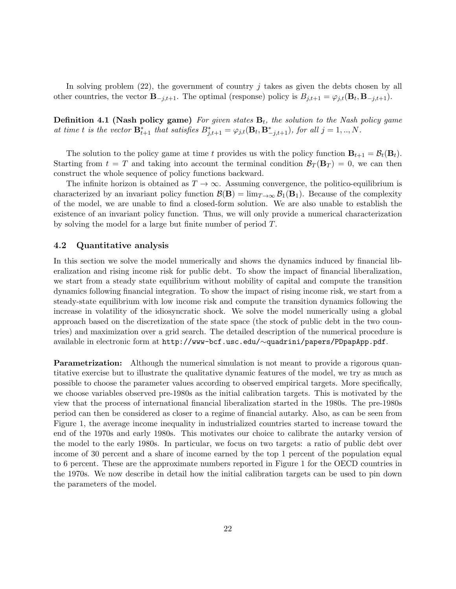In solving problem  $(22)$ , the government of country j takes as given the debts chosen by all other countries, the vector  $\mathbf{B}_{-j,t+1}$ . The optimal (response) policy is  $B_{j,t+1} = \varphi_{j,t}(\mathbf{B}_t, \mathbf{B}_{-j,t+1})$ .

**Definition 4.1 (Nash policy game)** For given states  $B_t$ , the solution to the Nash policy game at time t is the vector  $\mathbf{B}_{t+1}^*$  that satisfies  $B_{j,t+1}^* = \varphi_{j,t}(\mathbf{B}_t, \mathbf{B}_{-j,t+1}^*)$ , for all  $j = 1, ..., N$ .

The solution to the policy game at time t provides us with the policy function  $\mathbf{B}_{t+1} = \mathcal{B}_t(\mathbf{B}_t)$ . Starting from  $t = T$  and taking into account the terminal condition  $\mathcal{B}_T(\mathbf{B}_T) = 0$ , we can then construct the whole sequence of policy functions backward.

The infinite horizon is obtained as  $T \to \infty$ . Assuming convergence, the politico-equilibrium is characterized by an invariant policy function  $\mathcal{B}(B) = \lim_{T\to\infty} \mathcal{B}_1(B_1)$ . Because of the complexity of the model, we are unable to find a closed-form solution. We are also unable to establish the existence of an invariant policy function. Thus, we will only provide a numerical characterization by solving the model for a large but finite number of period T.

### 4.2 Quantitative analysis

In this section we solve the model numerically and shows the dynamics induced by financial liberalization and rising income risk for public debt. To show the impact of financial liberalization, we start from a steady state equilibrium without mobility of capital and compute the transition dynamics following financial integration. To show the impact of rising income risk, we start from a steady-state equilibrium with low income risk and compute the transition dynamics following the increase in volatility of the idiosyncratic shock. We solve the model numerically using a global approach based on the discretization of the state space (the stock of public debt in the two countries) and maximization over a grid search. The detailed description of the numerical procedure is available in electronic form at http://www-bcf.usc.edu/∼quadrini/papers/PDpapApp.pdf.

**Parametrization:** Although the numerical simulation is not meant to provide a rigorous quantitative exercise but to illustrate the qualitative dynamic features of the model, we try as much as possible to choose the parameter values according to observed empirical targets. More specifically, we choose variables observed pre-1980s as the initial calibration targets. This is motivated by the view that the process of international financial liberalization started in the 1980s. The pre-1980s period can then be considered as closer to a regime of financial autarky. Also, as can be seen from Figure 1, the average income inequality in industrialized countries started to increase toward the end of the 1970s and early 1980s. This motivates our choice to calibrate the autarky version of the model to the early 1980s. In particular, we focus on two targets: a ratio of public debt over income of 30 percent and a share of income earned by the top 1 percent of the population equal to 6 percent. These are the approximate numbers reported in Figure 1 for the OECD countries in the 1970s. We now describe in detail how the initial calibration targets can be used to pin down the parameters of the model.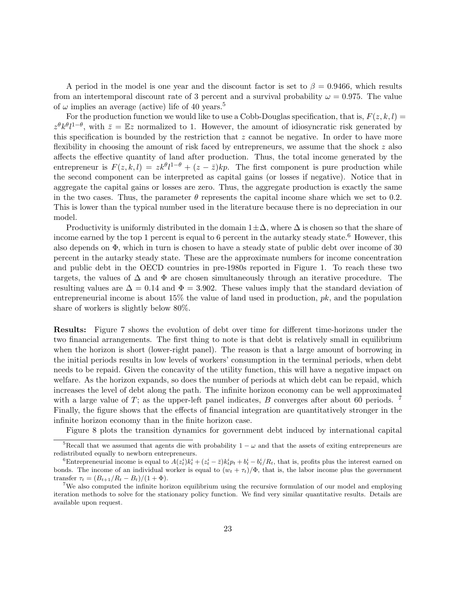A period in the model is one year and the discount factor is set to  $\beta = 0.9466$ , which results from an intertemporal discount rate of 3 percent and a survival probability  $\omega = 0.975$ . The value of  $\omega$  implies an average (active) life of 40 years.<sup>5</sup>

For the production function we would like to use a Cobb-Douglas specification, that is,  $F(z, k, l) =$  $z^{\theta}k^{\theta}l^{1-\theta}$ , with  $\bar{z}=\mathbb{E}z$  normalized to 1. However, the amount of idiosyncratic risk generated by this specification is bounded by the restriction that  $z$  cannot be negative. In order to have more flexibility in choosing the amount of risk faced by entrepreneurs, we assume that the shock z also affects the effective quantity of land after production. Thus, the total income generated by the entrepreneur is  $F(z, k, l) = zk^{\theta}l^{1-\theta} + (z - \overline{z})kp$ . The first component is pure production while the second component can be interpreted as capital gains (or losses if negative). Notice that in aggregate the capital gains or losses are zero. Thus, the aggregate production is exactly the same in the two cases. Thus, the parameter  $\theta$  represents the capital income share which we set to 0.2. This is lower than the typical number used in the literature because there is no depreciation in our model.

Productivity is uniformly distributed in the domain  $1 \pm \Delta$ , where  $\Delta$  is chosen so that the share of income earned by the top 1 percent is equal to 6 percent in the autarky steady state.<sup>6</sup> However, this also depends on  $\Phi$ , which in turn is chosen to have a steady state of public debt over income of 30 percent in the autarky steady state. These are the approximate numbers for income concentration and public debt in the OECD countries in pre-1980s reported in Figure 1. To reach these two targets, the values of  $\Delta$  and  $\Phi$  are chosen simultaneously through an iterative procedure. The resulting values are  $\Delta = 0.14$  and  $\Phi = 3.902$ . These values imply that the standard deviation of entrepreneurial income is about  $15\%$  the value of land used in production,  $pk$ , and the population share of workers is slightly below 80%.

Results: Figure 7 shows the evolution of debt over time for different time-horizons under the two financial arrangements. The first thing to note is that debt is relatively small in equilibrium when the horizon is short (lower-right panel). The reason is that a large amount of borrowing in the initial periods results in low levels of workers' consumption in the terminal periods, when debt needs to be repaid. Given the concavity of the utility function, this will have a negative impact on welfare. As the horizon expands, so does the number of periods at which debt can be repaid, which increases the level of debt along the path. The infinite horizon economy can be well approximated with a large value of  $T$ ; as the upper-left panel indicates,  $B$  converges after about 60 periods. <sup>7</sup> Finally, the figure shows that the effects of financial integration are quantitatively stronger in the infinite horizon economy than in the finite horizon case.

Figure 8 plots the transition dynamics for government debt induced by international capital

<sup>&</sup>lt;sup>5</sup>Recall that we assumed that agents die with probability  $1 - \omega$  and that the assets of exiting entrepreneurs are redistributed equally to newborn entrepreneurs.

<sup>&</sup>lt;sup>6</sup>Entrepreneurial income is equal to  $A(z_t^i)k_t^i + (z_t^i - \bar{z})k_t^ip_t + b_t^i - b_t^i/R_t$ , that is, profits plus the interest earned on bonds. The income of an individual worker is equal to  $(w_t + \tau_t)/\Phi$ , that is, the labor income plus the government transfer  $\tau_t = (B_{t+1}/R_t - B_t)/(1 + \Phi)$ .

<sup>7</sup>We also computed the infinite horizon equilibrium using the recursive formulation of our model and employing iteration methods to solve for the stationary policy function. We find very similar quantitative results. Details are available upon request.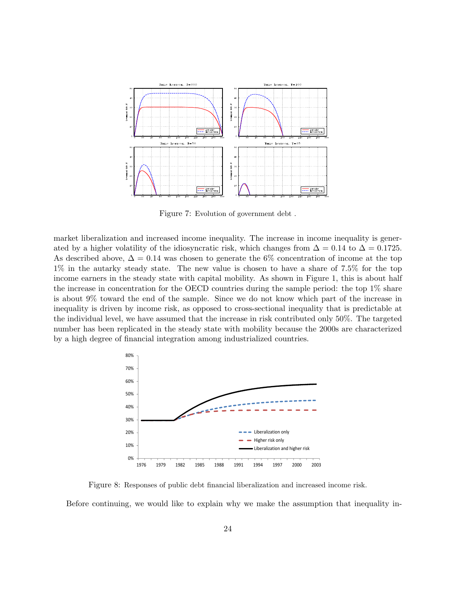

Figure 7: Evolution of government debt .

market liberalization and increased income inequality. The increase in income inequality is generated by a higher volatility of the idiosyncratic risk, which changes from  $\Delta = 0.14$  to  $\Delta = 0.1725$ . As described above,  $\Delta = 0.14$  was chosen to generate the 6% concentration of income at the top 1% in the autarky steady state. The new value is chosen to have a share of 7.5% for the top income earners in the steady state with capital mobility. As shown in Figure 1, this is about half the increase in concentration for the OECD countries during the sample period: the top 1% share is about 9% toward the end of the sample. Since we do not know which part of the increase in inequality is driven by income risk, as opposed to cross-sectional inequality that is predictable at the individual level, we have assumed that the increase in risk contributed only 50%. The targeted number has been replicated in the steady state with mobility because the 2000s are characterized by a high degree of financial integration among industrialized countries.



Figure 8: Responses of public debt financial liberalization and increased income risk.

Before continuing, we would like to explain why we make the assumption that inequality in-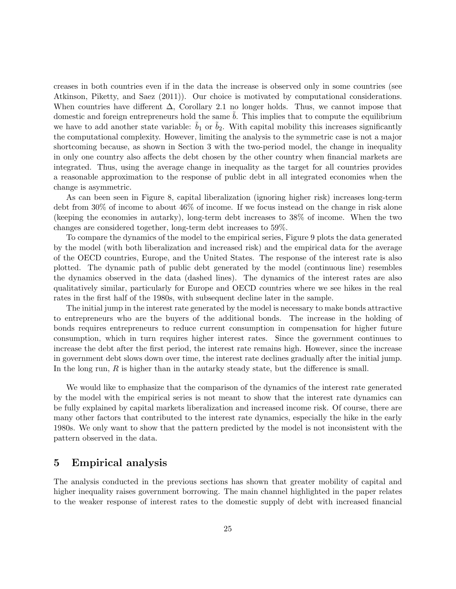creases in both countries even if in the data the increase is observed only in some countries (see Atkinson, Piketty, and Saez (2011)). Our choice is motivated by computational considerations. When countries have different  $\Delta$ , Corollary 2.1 no longer holds. Thus, we cannot impose that domestic and foreign entrepreneurs hold the same b. This implies that to compute the equilibrium we have to add another state variable:  $b_1$  or  $b_2$ . With capital mobility this increases significantly the computational complexity. However, limiting the analysis to the symmetric case is not a major shortcoming because, as shown in Section 3 with the two-period model, the change in inequality in only one country also affects the debt chosen by the other country when financial markets are integrated. Thus, using the average change in inequality as the target for all countries provides a reasonable approximation to the response of public debt in all integrated economies when the change is asymmetric.

As can been seen in Figure 8, capital liberalization (ignoring higher risk) increases long-term debt from 30% of income to about 46% of income. If we focus instead on the change in risk alone (keeping the economies in autarky), long-term debt increases to 38% of income. When the two changes are considered together, long-term debt increases to 59%.

To compare the dynamics of the model to the empirical series, Figure 9 plots the data generated by the model (with both liberalization and increased risk) and the empirical data for the average of the OECD countries, Europe, and the United States. The response of the interest rate is also plotted. The dynamic path of public debt generated by the model (continuous line) resembles the dynamics observed in the data (dashed lines). The dynamics of the interest rates are also qualitatively similar, particularly for Europe and OECD countries where we see hikes in the real rates in the first half of the 1980s, with subsequent decline later in the sample.

The initial jump in the interest rate generated by the model is necessary to make bonds attractive to entrepreneurs who are the buyers of the additional bonds. The increase in the holding of bonds requires entrepreneurs to reduce current consumption in compensation for higher future consumption, which in turn requires higher interest rates. Since the government continues to increase the debt after the first period, the interest rate remains high. However, since the increase in government debt slows down over time, the interest rate declines gradually after the initial jump. In the long run,  $R$  is higher than in the autarky steady state, but the difference is small.

We would like to emphasize that the comparison of the dynamics of the interest rate generated by the model with the empirical series is not meant to show that the interest rate dynamics can be fully explained by capital markets liberalization and increased income risk. Of course, there are many other factors that contributed to the interest rate dynamics, especially the hike in the early 1980s. We only want to show that the pattern predicted by the model is not inconsistent with the pattern observed in the data.

### 5 Empirical analysis

The analysis conducted in the previous sections has shown that greater mobility of capital and higher inequality raises government borrowing. The main channel highlighted in the paper relates to the weaker response of interest rates to the domestic supply of debt with increased financial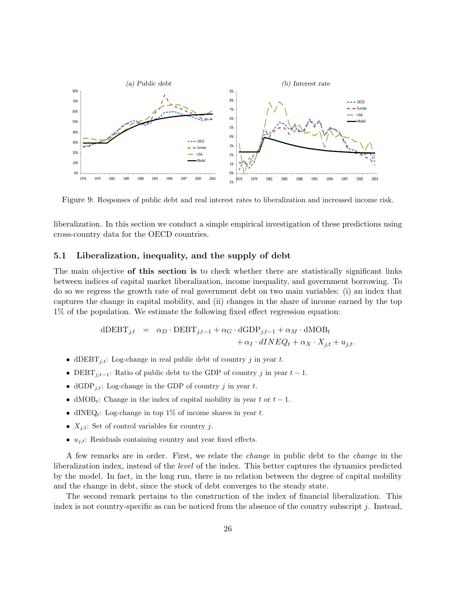

Figure 9: Responses of public debt and real interest rates to liberalization and increased income risk.

liberalization. In this section we conduct a simple empirical investigation of these predictions using cross-country data for the OECD countries.

### 5.1 Liberalization, inequality, and the supply of debt

The main objective of this section is to check whether there are statistically significant links between indices of capital market liberalization, income inequality, and government borrowing. To do so we regress the growth rate of real government debt on two main variables: (i) an index that captures the change in capital mobility, and (ii) changes in the share of income earned by the top 1% of the population. We estimate the following fixed effect regression equation:

$$
\begin{aligned} \text{dDEBT}_{j,t} &= \alpha_D \cdot \text{DEBT}_{j,t-1} + \alpha_G \cdot \text{dGDP}_{j,t-1} + \alpha_M \cdot \text{dMOB}_t \\ &+ \alpha_I \cdot dINEQ_t + \alpha_X \cdot X_{j,t} + u_{j,t}. \end{aligned}
$$

- dDEBT<sub>j,t</sub>: Log-change in real public debt of country j in year t.
- DEBT<sub>j,t−1</sub>: Ratio of public debt to the GDP of country j in year  $t-1$ .
- dGDP<sub>it</sub>: Log-change in the GDP of country j in year t.
- dMOB<sub>t</sub>: Change in the index of capital mobility in year t or  $t 1$ .
- dINEQ<sub>t</sub>: Log-change in top 1% of income shares in year t.
- $X_{j,t}$ : Set of control variables for country j.
- $\bullet \;\; u_{j,t}\!\!:$  Residuals containing country and year fixed effects.

A few remarks are in order. First, we relate the change in public debt to the change in the liberalization index, instead of the level of the index. This better captures the dynamics predicted by the model. In fact, in the long run, there is no relation between the degree of capital mobility and the change in debt, since the stock of debt converges to the steady state.

The second remark pertains to the construction of the index of financial liberalization. This index is not country-specific as can be noticed from the absence of the country subscript  $j$ . Instead,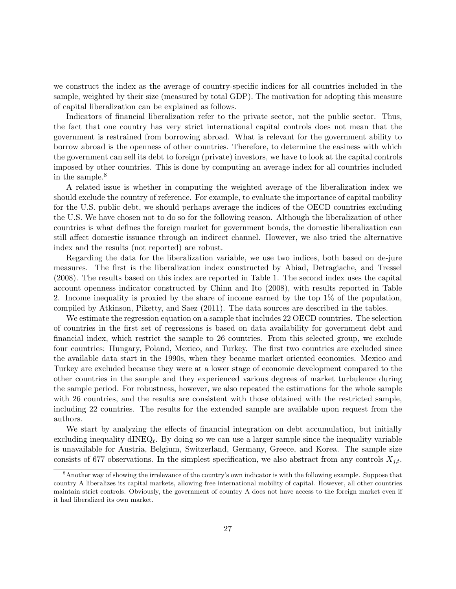we construct the index as the average of country-specific indices for all countries included in the sample, weighted by their size (measured by total GDP). The motivation for adopting this measure of capital liberalization can be explained as follows.

Indicators of financial liberalization refer to the private sector, not the public sector. Thus, the fact that one country has very strict international capital controls does not mean that the government is restrained from borrowing abroad. What is relevant for the government ability to borrow abroad is the openness of other countries. Therefore, to determine the easiness with which the government can sell its debt to foreign (private) investors, we have to look at the capital controls imposed by other countries. This is done by computing an average index for all countries included in the sample.<sup>8</sup>

A related issue is whether in computing the weighted average of the liberalization index we should exclude the country of reference. For example, to evaluate the importance of capital mobility for the U.S. public debt, we should perhaps average the indices of the OECD countries excluding the U.S. We have chosen not to do so for the following reason. Although the liberalization of other countries is what defines the foreign market for government bonds, the domestic liberalization can still affect domestic issuance through an indirect channel. However, we also tried the alternative index and the results (not reported) are robust.

Regarding the data for the liberalization variable, we use two indices, both based on de-jure measures. The first is the liberalization index constructed by Abiad, Detragiache, and Tressel (2008). The results based on this index are reported in Table 1. The second index uses the capital account openness indicator constructed by Chinn and Ito (2008), with results reported in Table 2. Income inequality is proxied by the share of income earned by the top 1% of the population, compiled by Atkinson, Piketty, and Saez (2011). The data sources are described in the tables.

We estimate the regression equation on a sample that includes 22 OECD countries. The selection of countries in the first set of regressions is based on data availability for government debt and financial index, which restrict the sample to 26 countries. From this selected group, we exclude four countries: Hungary, Poland, Mexico, and Turkey. The first two countries are excluded since the available data start in the 1990s, when they became market oriented economies. Mexico and Turkey are excluded because they were at a lower stage of economic development compared to the other countries in the sample and they experienced various degrees of market turbulence during the sample period. For robustness, however, we also repeated the estimations for the whole sample with 26 countries, and the results are consistent with those obtained with the restricted sample, including 22 countries. The results for the extended sample are available upon request from the authors.

We start by analyzing the effects of financial integration on debt accumulation, but initially excluding inequality  $dINEQ_t$ . By doing so we can use a larger sample since the inequality variable is unavailable for Austria, Belgium, Switzerland, Germany, Greece, and Korea. The sample size consists of 677 observations. In the simplest specification, we also abstract from any controls  $X_{j,t}$ .

<sup>8</sup>Another way of showing the irrelevance of the country's own indicator is with the following example. Suppose that country A liberalizes its capital markets, allowing free international mobility of capital. However, all other countries maintain strict controls. Obviously, the government of country A does not have access to the foreign market even if it had liberalized its own market.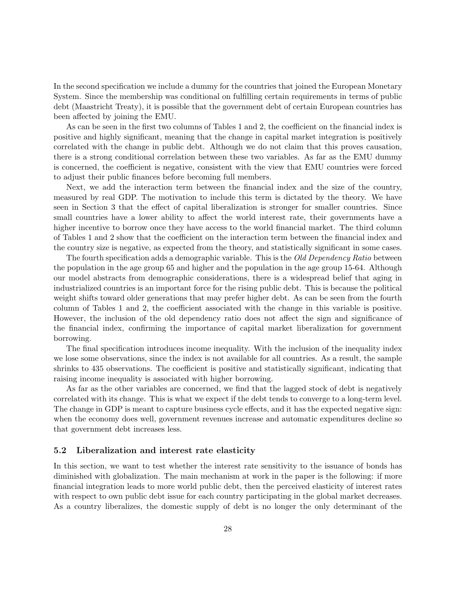In the second specification we include a dummy for the countries that joined the European Monetary System. Since the membership was conditional on fulfilling certain requirements in terms of public debt (Maastricht Treaty), it is possible that the government debt of certain European countries has been affected by joining the EMU.

As can be seen in the first two columns of Tables 1 and 2, the coefficient on the financial index is positive and highly significant, meaning that the change in capital market integration is positively correlated with the change in public debt. Although we do not claim that this proves causation, there is a strong conditional correlation between these two variables. As far as the EMU dummy is concerned, the coefficient is negative, consistent with the view that EMU countries were forced to adjust their public finances before becoming full members.

Next, we add the interaction term between the financial index and the size of the country, measured by real GDP. The motivation to include this term is dictated by the theory. We have seen in Section 3 that the effect of capital liberalization is stronger for smaller countries. Since small countries have a lower ability to affect the world interest rate, their governments have a higher incentive to borrow once they have access to the world financial market. The third column of Tables 1 and 2 show that the coefficient on the interaction term between the financial index and the country size is negative, as expected from the theory, and statistically significant in some cases.

The fourth specification adds a demographic variable. This is the *Old Dependency Ratio* between the population in the age group 65 and higher and the population in the age group 15-64. Although our model abstracts from demographic considerations, there is a widespread belief that aging in industrialized countries is an important force for the rising public debt. This is because the political weight shifts toward older generations that may prefer higher debt. As can be seen from the fourth column of Tables 1 and 2, the coefficient associated with the change in this variable is positive. However, the inclusion of the old dependency ratio does not affect the sign and significance of the financial index, confirming the importance of capital market liberalization for government borrowing.

The final specification introduces income inequality. With the inclusion of the inequality index we lose some observations, since the index is not available for all countries. As a result, the sample shrinks to 435 observations. The coefficient is positive and statistically significant, indicating that raising income inequality is associated with higher borrowing.

As far as the other variables are concerned, we find that the lagged stock of debt is negatively correlated with its change. This is what we expect if the debt tends to converge to a long-term level. The change in GDP is meant to capture business cycle effects, and it has the expected negative sign: when the economy does well, government revenues increase and automatic expenditures decline so that government debt increases less.

#### 5.2 Liberalization and interest rate elasticity

In this section, we want to test whether the interest rate sensitivity to the issuance of bonds has diminished with globalization. The main mechanism at work in the paper is the following: if more financial integration leads to more world public debt, then the perceived elasticity of interest rates with respect to own public debt issue for each country participating in the global market decreases. As a country liberalizes, the domestic supply of debt is no longer the only determinant of the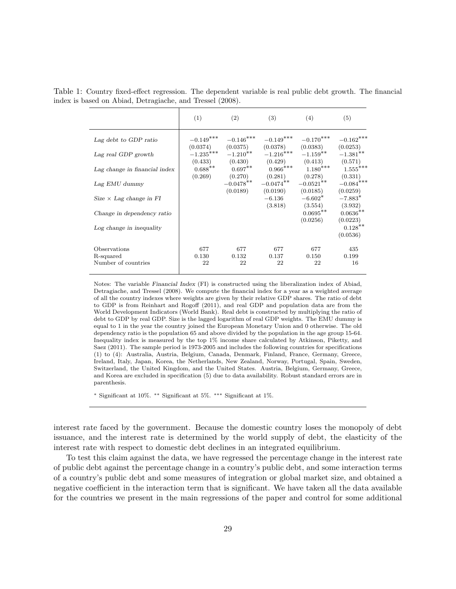|                                  | (1)         | (2)         | (3)         | (4)                                                                                                                                                                                                                    | (5)                    |
|----------------------------------|-------------|-------------|-------------|------------------------------------------------------------------------------------------------------------------------------------------------------------------------------------------------------------------------|------------------------|
| Lag debt to GDP ratio            |             |             |             | $-0.149***$ $-0.146***$ $-0.149***$ $-0.170***$ $-0.162***$                                                                                                                                                            |                        |
| Lag real GDP growth              |             |             |             | $\begin{array}{cccccc} (0.0374) & (0.0375) & (0.0378) & (0.0383) & (0.0253) \\ -1.235^{***} & -1.210^{**} & -1.216^{***} & -1.159^{**} & -1.381^{**} \end{array}$<br>$(0.433)$ $(0.430)$ $(0.429)$ $(0.413)$ $(0.571)$ |                        |
| Lag change in financial index    | $0.688***$  | $0.697***$  |             | $0.966***$ $1.180***$<br>$(0.269)$ $(0.270)$ $(0.281)$ $(0.278)$                                                                                                                                                       | $1.555***$<br>(0.331)  |
| Lag EMU dummy                    |             |             |             | $-0.0478$ ** $-0.0474$ ** $-0.0521$ **<br>$(0.0189)$ $(0.0190)$ $(0.0185)$ $(0.0259)$                                                                                                                                  | $-0.084***$            |
| $Size \times Lag$ change in FI   |             |             |             | $-6.136$ $-6.602^*$ $-7.883^*$<br>$(3.818)$ $(3.554)$ $(3.932)$                                                                                                                                                        |                        |
| Change in dependency ratio       |             |             |             | $0.0695***$<br>(0.0256)                                                                                                                                                                                                | $0.0636**$<br>(0.0223) |
| Log change in inequality         |             |             |             |                                                                                                                                                                                                                        | $0.128***$<br>(0.0536) |
| Observations                     | 677         | 677         | 677         | 677                                                                                                                                                                                                                    | 435                    |
| R-squared<br>Number of countries | 0.130<br>22 | 0.132<br>22 | 0.137<br>22 | 0.150<br>22                                                                                                                                                                                                            | 0.199<br>16            |

Table 1: Country fixed-effect regression. The dependent variable is real public debt growth. The financial index is based on Abiad, Detragiache, and Tressel (2008).

Notes: The variable Financial Index (FI) is constructed using the liberalization index of Abiad, Detragiache, and Tressel (2008). We compute the financial index for a year as a weighted average of all the country indexes where weights are given by their relative GDP shares. The ratio of debt to GDP is from Reinhart and Rogoff (2011), and real GDP and population data are from the World Development Indicators (World Bank). Real debt is constructed by multiplying the ratio of debt to GDP by real GDP. Size is the lagged logarithm of real GDP weights. The EMU dummy is equal to 1 in the year the country joined the European Monetary Union and 0 otherwise. The old dependency ratio is the population 65 and above divided by the population in the age group 15-64. Inequality index is measured by the top 1% income share calculated by Atkinson, Piketty, and Saez (2011). The sample period is 1973-2005 and includes the following countries for specifications (1) to (4): Australia, Austria, Belgium, Canada, Denmark, Finland, France, Germany, Greece, Ireland, Italy, Japan, Korea, the Netherlands, New Zealand, Norway, Portugal, Spain, Sweden, Switzerland, the United Kingdom, and the United States. Austria, Belgium, Germany, Greece, and Korea are excluded in specification (5) due to data availability. Robust standard errors are in parenthesis.

<sup>∗</sup> Significant at 10%. ∗∗ Significant at 5%. ∗∗∗ Significant at 1%.

interest rate faced by the government. Because the domestic country loses the monopoly of debt issuance, and the interest rate is determined by the world supply of debt, the elasticity of the interest rate with respect to domestic debt declines in an integrated equilibrium.

To test this claim against the data, we have regressed the percentage change in the interest rate of public debt against the percentage change in a country's public debt, and some interaction terms of a country's public debt and some measures of integration or global market size, and obtained a negative coefficient in the interaction term that is significant. We have taken all the data available for the countries we present in the main regressions of the paper and control for some additional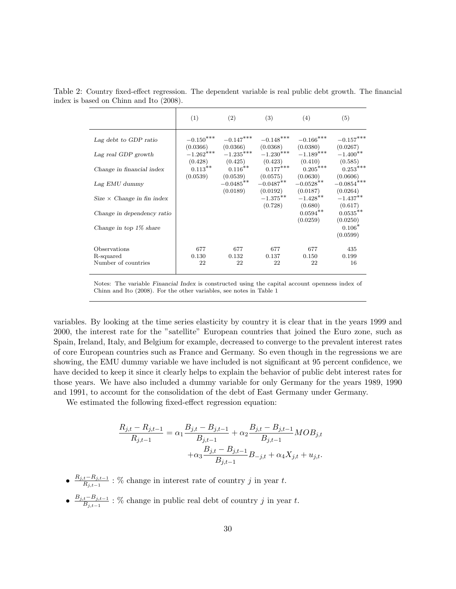|                                   | (1)      | (2)          | (3)          | (4)                                                                                                                                                                                                             | (5)                     |
|-----------------------------------|----------|--------------|--------------|-----------------------------------------------------------------------------------------------------------------------------------------------------------------------------------------------------------------|-------------------------|
| Lag debt to GDP ratio             | (0.0366) |              |              | $-0.150***$ $-0.147***$ $-0.148***$ $-0.166***$ $-0.157***$<br>$(0.0366)$ $(0.0368)$ $(0.0380)$ $(0.0267)$                                                                                                      |                         |
| Lag real GDP growth               |          |              |              | $-1.262***$ $-1.235***$ $-1.230***$ $-1.189***$ $-1.400**$                                                                                                                                                      |                         |
| Change in financial index         |          |              |              | $\begin{array}{cccc} (0.428) & (0.425) & (0.423) & (0.410) & (0.585) \\ 0.113^{**} & 0.116^{**} & 0.177^{***} & 0.205^{***} & 0.253^{**} \end{array}$<br>$(0.0539)$ $(0.0539)$ $(0.0575)$ $(0.0630)$ $(0.0606)$ | $0.253***$              |
| Lag EMU dummy                     |          | $-0.0485***$ | $-0.0487$ ** | $-0.0528***$<br>$(0.0189)$ $(0.0192)$ $(0.0187)$ $(0.0264)$                                                                                                                                                     | $-0.0854***$            |
| $Size \times Change$ in fin index |          |              |              | $-1.375***$ $-1.428***$ $-1.437***$<br>$(0.728)$ $(0.680)$ $(0.617)$                                                                                                                                            |                         |
| Change in dependency ratio        |          |              |              | $0.0594***$<br>(0.0259)                                                                                                                                                                                         | $0.0535***$<br>(0.0250) |
| Change in top $1\%$ share         |          |              |              |                                                                                                                                                                                                                 | $0.106*$<br>(0.0599)    |
| Observations                      | 677      | 677          | 677          | 677                                                                                                                                                                                                             | 435                     |
| R-squared                         | 0.130    | 0.132        | 0.137        | 0.150                                                                                                                                                                                                           | 0.199                   |
| Number of countries               | 22       | 22           | 22           | 22                                                                                                                                                                                                              | 16                      |

Table 2: Country fixed-effect regression. The dependent variable is real public debt growth. The financial index is based on Chinn and Ito (2008).

Notes: The variable Financial Index is constructed using the capital account openness index of Chinn and Ito (2008). For the other variables, see notes in Table 1

variables. By looking at the time series elasticity by country it is clear that in the years 1999 and 2000, the interest rate for the "satellite" European countries that joined the Euro zone, such as Spain, Ireland, Italy, and Belgium for example, decreased to converge to the prevalent interest rates of core European countries such as France and Germany. So even though in the regressions we are showing, the EMU dummy variable we have included is not significant at 95 percent confidence, we have decided to keep it since it clearly helps to explain the behavior of public debt interest rates for those years. We have also included a dummy variable for only Germany for the years 1989, 1990 and 1991, to account for the consolidation of the debt of East Germany under Germany.

We estimated the following fixed-effect regression equation:

$$
\frac{R_{j,t} - R_{j,t-1}}{R_{j,t-1}} = \alpha_1 \frac{B_{j,t} - B_{j,t-1}}{B_{j,t-1}} + \alpha_2 \frac{B_{j,t} - B_{j,t-1}}{B_{j,t-1}} MOB_{j,t} \n+ \alpha_3 \frac{B_{j,t} - B_{j,t-1}}{B_{j,t-1}} B_{-j,t} + \alpha_4 X_{j,t} + u_{j,t}.
$$

- $\bullet$   $\frac{R_{j,t}-R_{j,t-1}}{R_{j,t-1}}$  $\frac{t - h_{j,t-1}}{R_{j,t-1}}$ : % change in interest rate of country j in year t.
- $\bullet$   $\frac{B_{j,t}-B_{j,t-1}}{B_{j,t-1}}$  $\frac{t-D_{j,t-1}}{B_{j,t-1}}$ : % change in public real debt of country j in year t.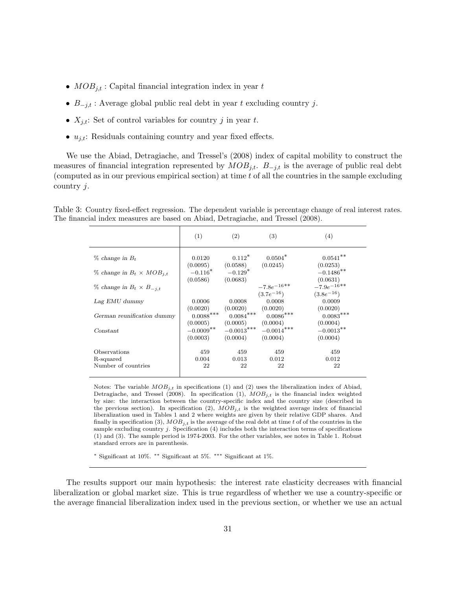- $MOD_{i,t}$ : Capital financial integration index in year t
- $B_{-j,t}$ : Average global public real debt in year t excluding country j.
- $X_{j,t}$ : Set of control variables for country j in year t.
- $u_{j,t}$ : Residuals containing country and year fixed effects.

We use the Abiad, Detragiache, and Tressel's (2008) index of capital mobility to construct the measures of financial integration represented by  $MOB_{j,t}$ .  $B_{-j,t}$  is the average of public real debt (computed as in our previous empirical section) at time  $t$  of all the countries in the sample excluding country  $i$ .

|  | Table 3: Country fixed-effect regression. The dependent variable is percentage change of real interest rates. |  |  |  |  |
|--|---------------------------------------------------------------------------------------------------------------|--|--|--|--|
|  | The financial index measures are based on Abiad, Detragiache, and Tressel (2008).                             |  |  |  |  |

|                                       | (1)                      | (2)                      | (3)                               | (4)                                           |
|---------------------------------------|--------------------------|--------------------------|-----------------------------------|-----------------------------------------------|
| $\%$ change in $B_t$                  | 0.0120                   | $0.112*$                 | $0.0504*$                         | $0.0541**$                                    |
| $\%$ change in $B_t \times MOB_{i,t}$ | (0.0095)<br>$-0.116*$    | (0.0588)<br>$-0.129*$    | (0.0245)                          | (0.0253)<br>$-0.1486$ **                      |
| $\%$ change in $B_t \times B_{-i,t}$  | (0.0586)                 | (0.0683)                 | $-7.8e^{-16**}$<br>$(3.7e^{-16})$ | (0.0631)<br>$-7.9e^{-16**}$<br>$(3.8e^{-16})$ |
| Lag EMU dummy                         | 0.0006<br>(0.0020)       | 0.0008<br>(0.0020)       | 0.0008<br>(0.0020)                | 0.0009<br>(0.0020)                            |
| German reunification dummy            | $0.0088***$<br>(0.0005)  | $0.0084***$<br>(0.0005)  | $0.0086***$<br>(0.0004)           | $0.0083***$<br>(0.0004)                       |
| Constant                              | $-0.0009$ **<br>(0.0003) | $-0.0013***$<br>(0.0004) | $-0.0014***$<br>(0.0004)          | $-0.0013$ **<br>(0.0004)                      |
| Observations                          | 459                      | 459                      | 459                               | 459                                           |
| R-squared<br>Number of countries      | 0.004<br>22              | 0.013<br>22              | 0.012<br>22                       | 0.012<br>22                                   |

Notes: The variable  $MOB_{i,t}$  in specifications (1) and (2) uses the liberalization index of Abiad, Detragiache, and Tressel (2008). In specification (1),  $MOB_{j,t}$  is the financial index weighted by size: the interaction between the country-specific index and the country size (described in the previous section). In specification (2),  $MOB_{j,t}$  is the weighted average index of financial liberalization used in Tables 1 and 2 where weights are given by their relative GDP shares. And finally in specification (3),  $MOB_{j,t}$  is the average of the real debt at time t of of the countries in the sample excluding country  $j$ . Specification  $(4)$  includes both the interaction terms of specifications (1) and (3). The sample period is 1974-2003. For the other variables, see notes in Table 1. Robust standard errors are in parenthesis.

<sup>∗</sup> Significant at 10%. ∗∗ Significant at 5%. ∗∗∗ Significant at 1%.

The results support our main hypothesis: the interest rate elasticity decreases with financial liberalization or global market size. This is true regardless of whether we use a country-specific or the average financial liberalization index used in the previous section, or whether we use an actual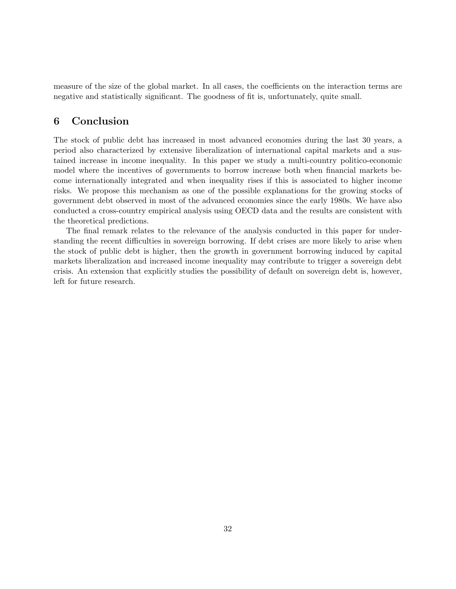measure of the size of the global market. In all cases, the coefficients on the interaction terms are negative and statistically significant. The goodness of fit is, unfortunately, quite small.

# 6 Conclusion

The stock of public debt has increased in most advanced economies during the last 30 years, a period also characterized by extensive liberalization of international capital markets and a sustained increase in income inequality. In this paper we study a multi-country politico-economic model where the incentives of governments to borrow increase both when financial markets become internationally integrated and when inequality rises if this is associated to higher income risks. We propose this mechanism as one of the possible explanations for the growing stocks of government debt observed in most of the advanced economies since the early 1980s. We have also conducted a cross-country empirical analysis using OECD data and the results are consistent with the theoretical predictions.

The final remark relates to the relevance of the analysis conducted in this paper for understanding the recent difficulties in sovereign borrowing. If debt crises are more likely to arise when the stock of public debt is higher, then the growth in government borrowing induced by capital markets liberalization and increased income inequality may contribute to trigger a sovereign debt crisis. An extension that explicitly studies the possibility of default on sovereign debt is, however, left for future research.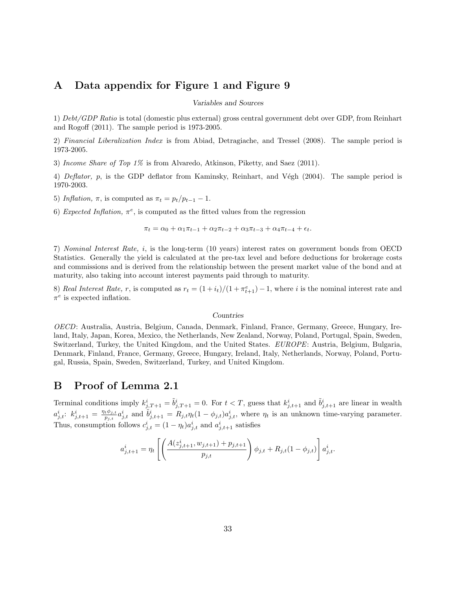## A Data appendix for Figure 1 and Figure 9

Variables and Sources

1) Debt/GDP Ratio is total (domestic plus external) gross central government debt over GDP, from Reinhart and Rogoff (2011). The sample period is 1973-2005.

2) Financial Liberalization Index is from Abiad, Detragiache, and Tressel (2008). The sample period is 1973-2005.

3) Income Share of Top 1% is from Alvaredo, Atkinson, Piketty, and Saez (2011).

4) Deflator, p, is the GDP deflator from Kaminsky, Reinhart, and Végh (2004). The sample period is 1970-2003.

5) Inflation,  $\pi$ , is computed as  $\pi_t = p_t/p_{t-1} - 1$ .

6) Expected Inflation,  $\pi^e$ , is computed as the fitted values from the regression

$$
\pi_t = \alpha_0 + \alpha_1 \pi_{t-1} + \alpha_2 \pi_{t-2} + \alpha_3 \pi_{t-3} + \alpha_4 \pi_{t-4} + \epsilon_t.
$$

7) Nominal Interest Rate, i, is the long-term (10 years) interest rates on government bonds from OECD Statistics. Generally the yield is calculated at the pre-tax level and before deductions for brokerage costs and commissions and is derived from the relationship between the present market value of the bond and at maturity, also taking into account interest payments paid through to maturity.

8) Real Interest Rate, r, is computed as  $r_t = (1 + i_t)/(1 + \pi_{t+1}^e) - 1$ , where i is the nominal interest rate and  $\pi^e$  is expected inflation.

#### Countries

OECD: Australia, Austria, Belgium, Canada, Denmark, Finland, France, Germany, Greece, Hungary, Ireland, Italy, Japan, Korea, Mexico, the Netherlands, New Zealand, Norway, Poland, Portugal, Spain, Sweden, Switzerland, Turkey, the United Kingdom, and the United States. EUROPE: Austria, Belgium, Bulgaria, Denmark, Finland, France, Germany, Greece, Hungary, Ireland, Italy, Netherlands, Norway, Poland, Portugal, Russia, Spain, Sweden, Switzerland, Turkey, and United Kingdom.

### B Proof of Lemma 2.1

Terminal conditions imply  $k_{j,T+1}^i = \tilde{b}_{j,T+1}^i = 0$ . For  $t < T$ , guess that  $k_{j,t+1}^i$  and  $\tilde{b}_{j,t+1}^i$  are linear in wealth  $a_{j,t}^i$ :  $k_{j,t+1}^i = \frac{\eta_t \phi_{j,t}}{p_{j,t}}$  $\frac{d\phi_{j,t}}{d\phi_{j,t}} a^i_{j,t}$  and  $\tilde{b}^i_{j,t+1} = R_{j,t} \eta_t (1 - \phi_{j,t}) a^i_{j,t}$ , where  $\eta_t$  is an unknown time-varying parameter. Thus, consumption follows  $c_{j,t}^i = (1 - \eta_t)a_{j,t}^i$  and  $a_{j,t+1}^i$  satisfies

$$
a_{j,t+1}^i = \eta_t \left[ \left( \frac{A(z_{j,t+1}^i, w_{j,t+1}) + p_{j,t+1}}{p_{j,t}} \right) \phi_{j,t} + R_{j,t} (1 - \phi_{j,t}) \right] a_{j,t}^i.
$$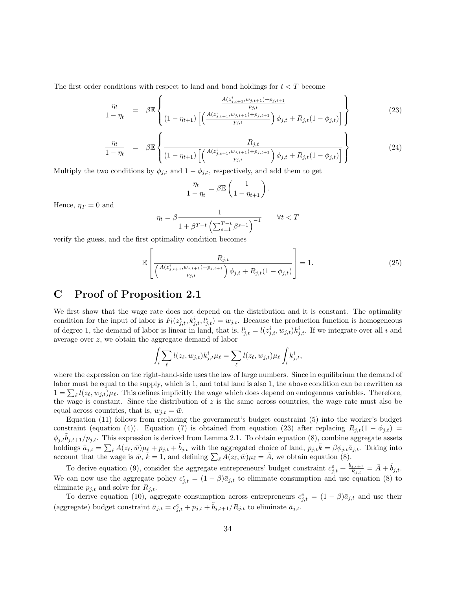The first order conditions with respect to land and bond holdings for  $t < T$  become

$$
\frac{\eta_t}{1-\eta_t} = \beta \mathbb{E} \left\{ \frac{\frac{A(z_{j,t+1}^i, w_{j,t+1}) + p_{j,t+1}}{p_{j,t}}}{(1-\eta_{t+1}) \left[ \left( \frac{A(z_{j,t+1}^i, w_{j,t+1}) + p_{j,t+1}}{p_{j,t}} \right) \phi_{j,t} + R_{j,t} (1-\phi_{j,t}) \right]} \right\}
$$
(23)

$$
\frac{\eta_t}{1-\eta_t} = \beta \mathbb{E} \left\{ \frac{R_{j,t}}{(1-\eta_{t+1}) \left[ \left( \frac{A(z_{j,t+1}^i, w_{j,t+1}) + p_{j,t+1}}{p_{j,t}} \right) \phi_{j,t} + R_{j,t} (1-\phi_{j,t}) \right]} \right\}
$$
(24)

Multiply the two conditions by  $\phi_{j,t}$  and  $1 - \phi_{j,t}$ , respectively, and add them to get

$$
\frac{\eta_t}{1-\eta_t} = \beta \mathbb{E}\left(\frac{1}{1-\eta_{t+1}}\right).
$$

Hence,  $\eta_T = 0$  and

$$
\eta_t = \beta \frac{1}{1 + \beta^{T-t} \left(\sum_{s=1}^{T-t} \beta^{s-1}\right)^{-1}} \qquad \forall t < T
$$

verify the guess, and the first optimality condition becomes

$$
\mathbb{E}\left[\frac{R_{j,t}}{\left(\frac{A(z_{j,t+1}^i, w_{j,t+1}) + p_{j,t+1}}{p_{j,t}}\right)\phi_{j,t} + R_{j,t}(1-\phi_{j,t})}\right] = 1.
$$
\n(25)

### C Proof of Proposition 2.1

We first show that the wage rate does not depend on the distribution and it is constant. The optimality condition for the input of labor is  $F_l(z_{j,t}^i, k_{j,t}^i, l_{j,t}^i) = w_{j,t}$ . Because the production function is homogeneous of degree 1, the demand of labor is linear in land, that is,  $l_{j,t}^i = l(z_{j,t}^i, w_{j,t}) k_{j,t}^i$ . If we integrate over all i and average over z, we obtain the aggregate demand of labor

$$
\int_i \sum_{\ell} l(z_{\ell}, w_{j,t}) k_{j,t}^i \mu_{\ell} = \sum_{\ell} l(z_{\ell}, w_{j,t}) \mu_{\ell} \int_i k_{j,t}^i,
$$

where the expression on the right-hand-side uses the law of large numbers. Since in equilibrium the demand of labor must be equal to the supply, which is 1, and total land is also 1, the above condition can be rewritten as  $1 = \sum_{\ell} l(z_{\ell}, w_{j,t}) \mu_{\ell}$ . This defines implicitly the wage which does depend on endogenous variables. Therefore, the wage is constant. Since the distribution of  $z$  is the same across countries, the wage rate must also be equal across countries, that is,  $w_{j,t} = \bar{w}$ .

Equation (11) follows from replacing the government's budget constraint (5) into the worker's budget constraint (equation (4)). Equation (7) is obtained from equation (23) after replacing  $R_{j,t}(1 - \phi_{j,t})$  =  $\phi_{j,t}b_{j,t+1}/p_{j,t}$ . This expression is derived from Lemma 2.1. To obtain equation (8), combine aggregate assets holdings  $\bar{a}_{j,t} = \sum_{\ell} A(z_{\ell}, \bar{w}) \mu_{\ell} + p_{j,t} + \tilde{b}_{j,t}$  with the aggregated choice of land,  $p_{j,t} \bar{k} = \beta \phi_{j,t} \bar{a}_{j,t}$ . Taking into account that the wage is  $\bar{w}, \bar{k} = 1$ , and defining  $\sum_{\ell} \bar{A}(z_{\ell}, \bar{w}) \mu_{\ell} = \bar{A}$ , we obtain equation (8).

To derive equation (9), consider the aggregate entrepreneurs' budget constraint  $c_{j,t}^e + \frac{\tilde{b}_{j,t+1}}{R_{j,t}}$  $\frac{d_{j,t+1}}{R_{j,t}} = \bar{A} + \tilde{b}_{j,t}.$ We can now use the aggregate policy  $c_{j,t}^e = (1-\beta)\bar{a}_{j,t}$  to eliminate consumption and use equation (8) to eliminate  $p_{j,t}$  and solve for  $R_{j,t}$ .

To derive equation (10), aggregate consumption across entrepreneurs  $c_{j,t}^e = (1 - \beta)\bar{a}_{j,t}$  and use their (aggregate) budget constraint  $\bar{a}_{j,t} = c_{j,t}^e + p_{j,t} + \tilde{b}_{j,t+1}/R_{j,t}$  to eliminate  $\bar{a}_{j,t}$ .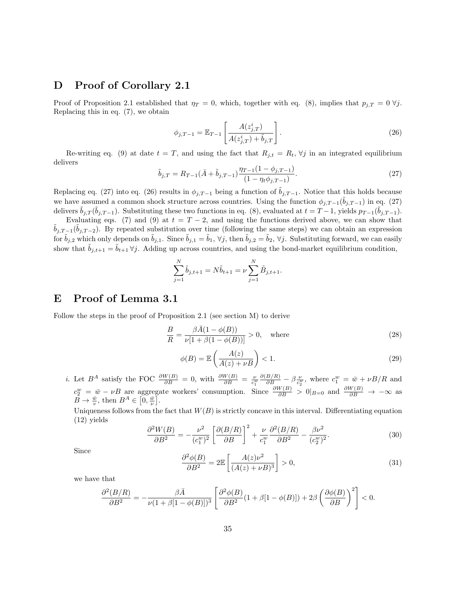# D Proof of Corollary 2.1

Proof of Proposition 2.1 established that  $\eta_T = 0$ , which, together with eq. (8), implies that  $p_{j,T} = 0 \forall j$ . Replacing this in eq. (7), we obtain

$$
\phi_{j,T-1} = \mathbb{E}_{T-1} \left[ \frac{A(z_{j,T}^i)}{A(z_{j,T}^i) + \tilde{b}_{j,T}} \right].
$$
\n(26)

Re-writing eq. (9) at date  $t = T$ , and using the fact that  $R_{j,t} = R_t$ ,  $\forall j$  in an integrated equilibrium delivers

$$
\tilde{b}_{j,T} = R_{T-1}(\bar{A} + \tilde{b}_{j,T-1}) \frac{\eta_{T-1}(1 - \phi_{j,T-1})}{(1 - \eta_t \phi_{j,T-1})}.
$$
\n(27)

Replacing eq. (27) into eq. (26) results in  $\phi_{j,T-1}$  being a function of  $\tilde{b}_{j,T-1}$ . Notice that this holds because we have assumed a common shock structure across countries. Using the function  $\phi_{j,T-1}(\tilde{b}_{j,T-1})$  in eq. (27) delivers  $\tilde{b}_{j,T}(\tilde{b}_{j,T-1})$ . Substituting these two functions in eq. (8), evaluated at  $t = T-1$ , yields  $p_{T-1}(\tilde{b}_{j,T-1})$ .

Evaluating eqs. (7) and (9) at  $t = T - 2$ , and using the functions derived above, we can show that  $\tilde{b}_{j,T-1}(\tilde{b}_{j,T-2})$ . By repeated substitution over time (following the same steps) we can obtain an expression for  $\tilde{b}_{j,2}$  which only depends on  $\tilde{b}_{j,1}$ . Since  $\tilde{b}_{j,1} = \tilde{b}_1$ ,  $\forall j$ , then  $\tilde{b}_{j,2} = \tilde{b}_2$ ,  $\forall j$ . Substituting forward, we can easily show that  $b_{j,t+1} = b_{t+1} \forall j$ . Adding up across countries, and using the bond-market equilibrium condition,

$$
\sum_{j=1}^{N} \tilde{b}_{j,t+1} = N\tilde{b}_{t+1} = \nu \sum_{j=1}^{N} \tilde{B}_{j,t+1}.
$$

# E Proof of Lemma 3.1

Follow the steps in the proof of Proposition 2.1 (see section M) to derive

$$
\frac{B}{R} = \frac{\beta \bar{A} (1 - \phi(B))}{\nu [1 + \beta (1 - \phi(B))]} > 0, \quad \text{where}
$$
\n
$$
(28)
$$

$$
\phi(B) = \mathbb{E}\left(\frac{A(z)}{A(z) + \nu B}\right) < 1.\tag{29}
$$

*i*. Let  $B^A$  satisfy the FOC  $\frac{\partial W(B)}{\partial B} = 0$ , with  $\frac{\partial W(B)}{\partial B} = \frac{\nu}{c_1^{\omega}}$  $\frac{\partial (B/R)}{\partial B} - \beta \frac{\nu}{c_2^w}$ , where  $c_1^w = \bar{w} + \nu B/R$  and  $c_2^w = \bar{w} - \nu B$  are aggregate workers' consumption. Since  $\frac{\partial W(B)}{\partial B} > 0|_{B=0}$  and  $\frac{\partial W(B)}{\partial B} \to -\infty$  as  $B \to \frac{\bar{w}}{v}$ , then  $B^A \in [0, \frac{\bar{w}}{\nu}]$ .

Uniqueness follows from the fact that  $W(B)$  is strictly concave in this interval. Differentiating equation (12) yields

$$
\frac{\partial^2 W(B)}{\partial B^2} = -\frac{\nu^2}{(c_1^w)^2} \left[ \frac{\partial (B/R)}{\partial B} \right]^2 + \frac{\nu}{c_1^w} \frac{\partial^2 (B/R)}{\partial B^2} - \frac{\beta \nu^2}{(c_2^w)^2}.
$$
(30)

Since

$$
\frac{\partial^2 \phi(B)}{\partial B^2} = 2\mathbb{E}\left[\frac{A(z)\nu^2}{(A(z)+\nu B)^3}\right] > 0,\tag{31}
$$

we have that

$$
\frac{\partial^2 (B/R)}{\partial B^2} = -\frac{\beta \bar{A}}{\nu (1 + \beta [1 - \phi(B)])^3} \left[ \frac{\partial^2 \phi(B)}{\partial B^2} (1 + \beta [1 - \phi(B)]) + 2\beta \left( \frac{\partial \phi(B)}{\partial B} \right)^2 \right] < 0.
$$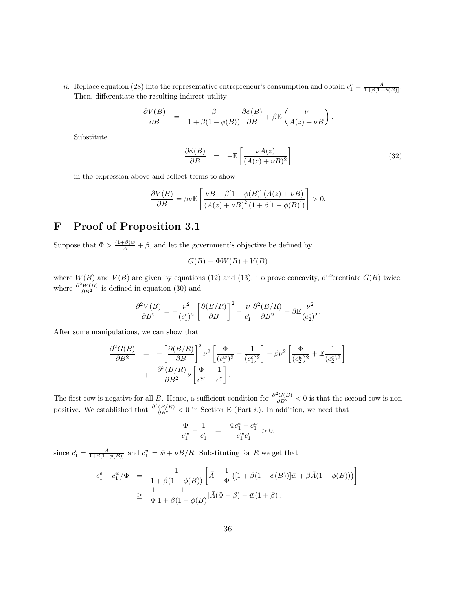*ii.* Replace equation (28) into the representative entrepreneur's consumption and obtain  $c_1^e = \frac{\bar{A}}{1+\beta[1-\phi(B)]}$ . Then, differentiate the resulting indirect utility

$$
\frac{\partial V(B)}{\partial B} = \frac{\beta}{1 + \beta(1 - \phi(B))} \frac{\partial \phi(B)}{\partial B} + \beta \mathbb{E} \left( \frac{\nu}{A(z) + \nu B} \right).
$$

Substitute

$$
\frac{\partial \phi(B)}{\partial B} = -\mathbb{E}\left[\frac{\nu A(z)}{(A(z) + \nu B)^2}\right] \tag{32}
$$

in the expression above and collect terms to show

$$
\frac{\partial V(B)}{\partial B} = \beta \nu \mathbb{E} \left[ \frac{\nu B + \beta [1 - \phi(B)] (A(z) + \nu B)}{(A(z) + \nu B)^2 (1 + \beta [1 - \phi(B)])} \right] > 0.
$$

# F Proof of Proposition 3.1

Suppose that  $\Phi > \frac{(1+\beta)\bar{w}}{\bar{A}} + \beta$ , and let the government's objective be defined by

$$
G(B) \equiv \Phi W(B) + V(B)
$$

where  $W(B)$  and  $V(B)$  are given by equations (12) and (13). To prove concavity, differentiate  $G(B)$  twice, where  $\frac{\partial^2 W(B)}{\partial B^2}$  is defined in equation (30) and

$$
\frac{\partial^2 V(B)}{\partial B^2} = -\frac{\nu^2}{(c_1^e)^2} \left[ \frac{\partial (B/R)}{\partial B} \right]^2 - \frac{\nu}{c_1^e} \frac{\partial^2 (B/R)}{\partial B^2} - \beta \mathbb{E} \frac{\nu^2}{(c_2^e)^2}.
$$

After some manipulations, we can show that

$$
\frac{\partial^2 G(B)}{\partial B^2} = -\left[\frac{\partial (B/R)}{\partial B}\right]^2 \nu^2 \left[\frac{\Phi}{(c_1^w)^2} + \frac{1}{(c_1^e)^2}\right] - \beta \nu^2 \left[\frac{\Phi}{(c_2^w)^2} + \mathbb{E}\frac{1}{(c_2^e)^2}\right] + \frac{\partial^2 (B/R)}{\partial B^2} \nu \left[\frac{\Phi}{c_1^w} - \frac{1}{c_1^e}\right].
$$

The first row is negative for all B. Hence, a sufficient condition for  $\frac{\partial^2 G(B)}{\partial B^2} < 0$  is that the second row is non positive. We established that  $\frac{\partial^2 (B/R)}{\partial B^2} < 0$  in Section E (Part *i.*). In addition, we need that

$$
\frac{\Phi}{c_1^w} - \frac{1}{c_1^e} = \frac{\Phi c_1^e - c_1^w}{c_1^w c_1^e} > 0,
$$

since  $c_1^e = \frac{\bar{A}}{1+\beta[1-\phi(B)]}$  and  $c_1^w = \bar{w} + \nu B/R$ . Substituting for R we get that

$$
c_1^e - c_1^w / \Phi = \frac{1}{1 + \beta(1 - \phi(B))} \left[ \bar{A} - \frac{1}{\Phi} \left( [1 + \beta(1 - \phi(B))] \bar{w} + \beta \bar{A} (1 - \phi(B)) \right) \right]
$$
  
 
$$
\geq \frac{1}{\Phi} \frac{1}{1 + \beta(1 - \phi(B))} [\bar{A} (\Phi - \beta) - \bar{w} (1 + \beta)].
$$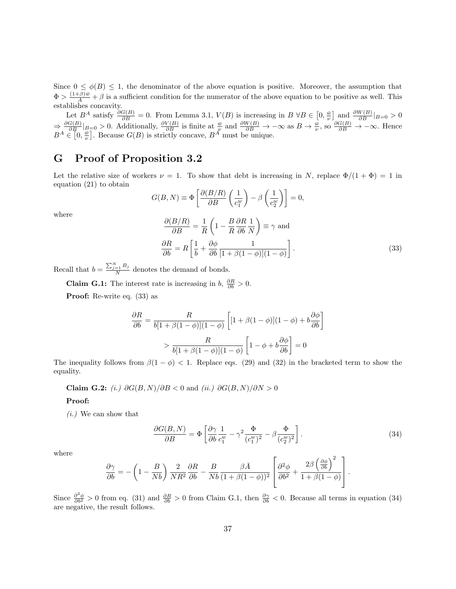Since  $0 \leq \phi(B) \leq 1$ , the denominator of the above equation is positive. Moreover, the assumption that  $\Phi > \frac{(1+\beta)\bar{w}}{\bar{A}} + \beta$  is a sufficient condition for the numerator of the above equation to be positive as well. This establishes concavity.

Let  $B^A$  satisfy  $\frac{\partial G(B)}{\partial B} = 0$ . From Lemma 3.1,  $V(B)$  is increasing in  $B \forall B \in \left[0, \frac{\bar{w}}{\nu}\right]$  and  $\frac{\partial W(B)}{\partial B}|_{B=0} > 0$  $\Rightarrow \frac{\partial G(B)}{\partial B}|_{B=0} > 0.$  Additionally,  $\frac{\partial V(B)}{\partial B}$  is finite at  $\frac{\bar{w}}{\nu}$  and  $\frac{\partial W(B)}{\partial B} \rightarrow -\infty$  as  $B \rightarrow \frac{\bar{w}}{\nu}$ , so  $\frac{\partial G(B)}{\partial B} \rightarrow -\infty$ . Hence  $B^A \in [0, \frac{\bar{w}}{\nu}]$ . Because  $G(B)$  is strictly concave,  $B^A$  must be unique.

## G Proof of Proposition 3.2

Let the relative size of workers  $\nu = 1$ . To show that debt is increasing in N, replace  $\Phi/(1 + \Phi) = 1$  in equation (21) to obtain

$$
G(B, N) \equiv \Phi \left[ \frac{\partial (B/R)}{\partial B} \left( \frac{1}{c_1^w} \right) - \beta \left( \frac{1}{c_2^w} \right) \right] = 0,
$$

$$
\frac{\partial (B/R)}{\partial B} = \frac{1}{B} \left( 1 - \frac{B}{B} \frac{\partial R}{\partial b} \frac{1}{N} \right) \equiv \gamma \text{ and}
$$

where

$$
\frac{\partial R}{\partial B} = R \left[ 1 - \frac{2}{R} \frac{\partial R}{\partial b} \frac{1}{N} \right] \equiv \gamma \text{ and}
$$
  

$$
\frac{\partial R}{\partial b} = R \left[ \frac{1}{b} + \frac{\partial \phi}{\partial b} \frac{1}{[1 + \beta(1 - \phi)](1 - \phi)} \right].
$$
 (33)

Recall that  $b = \frac{\sum_{j=1}^{N} B_j}{N}$  denotes the demand of bonds.

**Claim G.1:** The interest rate is increasing in  $b$ ,  $\frac{\partial R}{\partial b} > 0$ .

Proof: Re-write eq. (33) as

$$
\frac{\partial R}{\partial b} = \frac{R}{b[1 + \beta(1 - \phi)](1 - \phi)} \left[ [1 + \beta(1 - \phi)](1 - \phi) + b \frac{\partial \phi}{\partial b} \right]
$$

$$
> \frac{R}{b[1 + \beta(1 - \phi)](1 - \phi)} \left[ 1 - \phi + b \frac{\partial \phi}{\partial b} \right] = 0
$$

The inequality follows from  $\beta(1-\phi) < 1$ . Replace eqs. (29) and (32) in the bracketed term to show the equality.

Claim G.2: (i.)  $\partial G(B, N)/\partial B < 0$  and (ii.)  $\partial G(B, N)/\partial N > 0$ 

#### Proof:

 $(i.)$  We can show that

$$
\frac{\partial G(B,N)}{\partial B} = \Phi \left[ \frac{\partial \gamma}{\partial b} \frac{1}{c_1^w} - \gamma^2 \frac{\Phi}{(c_1^w)^2} - \beta \frac{\Phi}{(c_2^w)^2} \right].
$$
\n(34)

where

$$
\frac{\partial \gamma}{\partial b} = -\left(1 - \frac{B}{Nb}\right) \frac{2}{NR^2} \frac{\partial R}{\partial b} - \frac{B}{Nb} \frac{\beta \bar{A}}{(1 + \beta(1 - \phi))^2} \left[ \frac{\partial^2 \phi}{\partial b^2} + \frac{2\beta \left(\frac{\partial \phi}{\partial b}\right)^2}{1 + \beta(1 - \phi)} \right].
$$

Since  $\frac{\partial^2 \phi}{\partial b^2} > 0$  from eq. (31) and  $\frac{\partial R}{\partial b} > 0$  from Claim G.1, then  $\frac{\partial \gamma}{\partial b} < 0$ . Because all terms in equation (34) are negative, the result follows.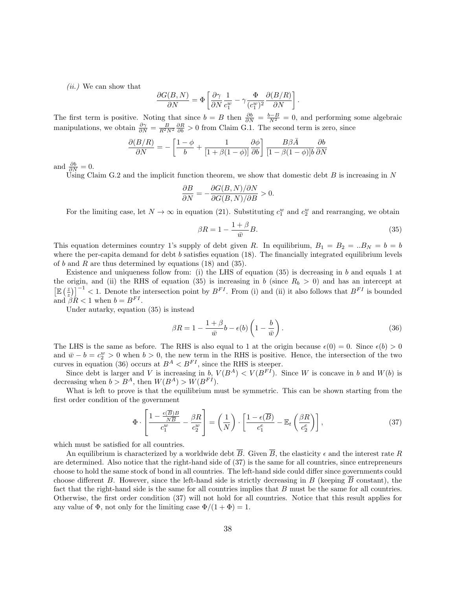$(ii.)$  We can show that

$$
\frac{\partial G(B,N)}{\partial N} = \Phi \left[ \frac{\partial \gamma}{\partial N} \frac{1}{c_1^w} - \gamma \frac{\Phi}{(c_1^w)^2} \frac{\partial (B/R)}{\partial N} \right].
$$

The first term is positive. Noting that since  $b = B$  then  $\frac{\partial b}{\partial N} = \frac{b-B}{N^2} = 0$ , and performing some algebraic manipulations, we obtain  $\frac{\partial \gamma}{\partial N} = \frac{B}{R^2 N^2} \frac{\partial R}{\partial b} > 0$  from Claim G.1. The second term is zero, since

$$
\frac{\partial (B/R)}{\partial N} = -\left[\frac{1-\phi}{b} + \frac{1}{[1+\beta(1-\phi)]}\frac{\partial \phi}{\partial b}\right] \frac{B\beta\bar{A}}{[1-\beta(1-\phi)]b} \frac{\partial b}{\partial N}
$$

and  $\frac{\partial b}{\partial N} = 0$ .

Using Claim G.2 and the implicit function theorem, we show that domestic debt  $B$  is increasing in  $N$ 

$$
\frac{\partial B}{\partial N} = -\frac{\partial G(B, N)/\partial N}{\partial G(B, N)/\partial B} > 0.
$$

For the limiting case, let  $N \to \infty$  in equation (21). Substituting  $c_1^w$  and  $c_2^w$  and rearranging, we obtain

$$
\beta R = 1 - \frac{1+\beta}{\bar{w}}B.\tag{35}
$$

This equation determines country 1's supply of debt given R. In equilibrium,  $B_1 = B_2 = .B_N = b = b$ where the per-capita demand for debt  $b$  satisfies equation (18). The financially integrated equilibrium levels of  $b$  and  $R$  are thus determined by equations (18) and (35).

Existence and uniqueness follow from: (i) the LHS of equation  $(35)$  is decreasing in b and equals 1 at the origin, and (ii) the RHS of equation (35) is increasing in b (since  $R_b > 0$ ) and has an intercept at  $\left[\mathbb{E}\left(\frac{\bar{z}}{z}\right)\right]^{-1}$  < 1. Denote the intersection point by  $B^{FI}$ . From (i) and (ii) it also follows that  $B^{FI}$  is bounded  $\lfloor \frac{\ln \left(\frac{1}{z}\right)}{\ln \left(\frac{\beta}{R}\right)} \rfloor$  < 1. Denote the  $b = B^{FI}$ .

Under autarky, equation (35) is instead

$$
\beta R = 1 - \frac{1 + \beta}{\bar{w}} b - \epsilon(b) \left( 1 - \frac{b}{\bar{w}} \right). \tag{36}
$$

The LHS is the same as before. The RHS is also equal to 1 at the origin because  $\epsilon(0) = 0$ . Since  $\epsilon(b) > 0$ and  $\bar{w} - b = c_2^w > 0$  when  $b > 0$ , the new term in the RHS is positive. Hence, the intersection of the two curves in equation (36) occurs at  $B^A < B^{FI}$ , since the RHS is steeper.

Since debt is larger and V is increasing in b,  $V(B^A) < V(B^{FI})$ . Since W is concave in b and  $W(b)$  is decreasing when  $b > B^A$ , then  $W(B^A) > W(B^{FI})$ .

What is left to prove is that the equilibrium must be symmetric. This can be shown starting from the first order condition of the government

$$
\Phi \cdot \left[ \frac{1 - \frac{\epsilon(\overline{B})B}{N\overline{B}}}{c_1^w} - \frac{\beta R}{c_2^w} \right] = \left( \frac{1}{N} \right) \cdot \left[ \frac{1 - \epsilon(\overline{B})}{c_1^e} - \mathbb{E}_t \left( \frac{\beta R}{c_2^e} \right) \right],\tag{37}
$$

which must be satisfied for all countries.

An equilibrium is characterized by a worldwide debt  $\overline{B}$ . Given  $\overline{B}$ , the elasticity  $\epsilon$  and the interest rate R are determined. Also notice that the right-hand side of (37) is the same for all countries, since entrepreneurs choose to hold the same stock of bond in all countries. The left-hand side could differ since governments could choose different B. However, since the left-hand side is strictly decreasing in B (keeping  $\overline{B}$  constant), the fact that the right-hand side is the same for all countries implies that B must be the same for all countries. Otherwise, the first order condition (37) will not hold for all countries. Notice that this result applies for any value of  $\Phi$ , not only for the limiting case  $\Phi/(1+\Phi)=1$ .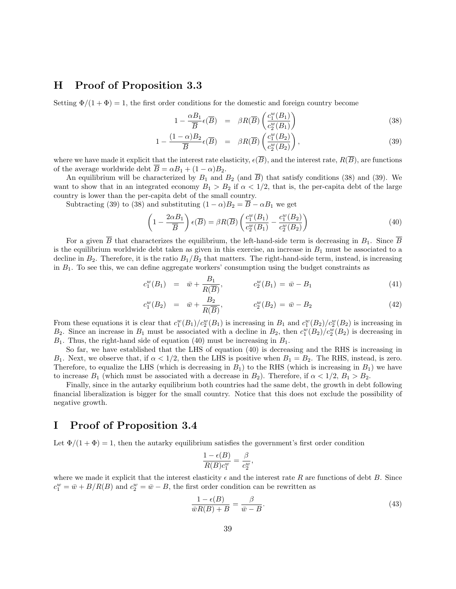## H Proof of Proposition 3.3

Setting  $\Phi/(1+\Phi) = 1$ , the first order conditions for the domestic and foreign country become

$$
1 - \frac{\alpha B_1}{\overline{B}} \epsilon(\overline{B}) = \beta R(\overline{B}) \left( \frac{c_1^w(B_1)}{c_2^w(B_1)} \right)
$$
(38)

$$
1 - \frac{(1 - \alpha)B_2}{\overline{B}} \epsilon(\overline{B}) = \beta R(\overline{B}) \left( \frac{c_1^w(B_2)}{c_2^w(B_2)} \right), \tag{39}
$$

where we have made it explicit that the interest rate elasticity,  $\epsilon(\overline{B})$ , and the interest rate,  $R(\overline{B})$ , are functions of the average worldwide debt  $\overline{B} = \alpha B_1 + (1 - \alpha)B_2$ .

An equilibrium will be characterized by  $B_1$  and  $B_2$  (and  $\overline{B}$ ) that satisfy conditions (38) and (39). We want to show that in an integrated economy  $B_1 > B_2$  if  $\alpha < 1/2$ , that is, the per-capita debt of the large country is lower than the per-capita debt of the small country.

Subtracting (39) to (38) and substituting  $(1 - \alpha)B_2 = \overline{B} - \alpha B_1$  we get

$$
\left(1 - \frac{2\alpha B_1}{\overline{B}}\right)\epsilon(\overline{B}) = \beta R(\overline{B}) \left(\frac{c_1^w(B_1)}{c_2^w(B_1)} - \frac{c_1^w(B_2)}{c_2^w(B_2)}\right)
$$
(40)

For a given  $\overline{B}$  that characterizes the equilibrium, the left-hand-side term is decreasing in  $B_1$ . Since  $\overline{B}$ is the equilibrium worldwide debt taken as given in this exercise, an increase in  $B_1$  must be associated to a decline in  $B_2$ . Therefore, it is the ratio  $B_1/B_2$  that matters. The right-hand-side term, instead, is increasing in  $B_1$ . To see this, we can define aggregate workers' consumption using the budget constraints as

$$
c_1^w(B_1) = \bar{w} + \frac{B_1}{R(\overline{B})}, \qquad c_2^w(B_1) = \bar{w} - B_1 \tag{41}
$$

$$
c_1^w(B_2) = \bar{w} + \frac{B_2}{R(\overline{B})}, \qquad c_2^w(B_2) = \bar{w} - B_2 \qquad (42)
$$

From these equations it is clear that  $c_1^w(B_1)/c_2^w(B_1)$  is increasing in  $B_1$  and  $c_1^w(B_2)/c_2^w(B_2)$  is increasing in  $B_2$ . Since an increase in  $B_1$  must be associated with a decline in  $B_2$ , then  $c_1^w(B_2)/c_2^w(B_2)$  is decreasing in  $B_1$ . Thus, the right-hand side of equation (40) must be increasing in  $B_1$ .

So far, we have established that the LHS of equation (40) is decreasing and the RHS is increasing in  $B_1$ . Next, we observe that, if  $\alpha < 1/2$ , then the LHS is positive when  $B_1 = B_2$ . The RHS, instead, is zero. Therefore, to equalize the LHS (which is decreasing in  $B_1$ ) to the RHS (which is increasing in  $B_1$ ) we have to increase  $B_1$  (which must be associated with a decrease in  $B_2$ ). Therefore, if  $\alpha < 1/2$ ,  $B_1 > B_2$ .

Finally, since in the autarky equilibrium both countries had the same debt, the growth in debt following financial liberalization is bigger for the small country. Notice that this does not exclude the possibility of negative growth.

### I Proof of Proposition 3.4

Let  $\Phi/(1+\Phi) = 1$ , then the autarky equilibrium satisfies the government's first order condition

$$
\frac{1-\epsilon(B)}{R(B)c_1^w} = \frac{\beta}{c_2^w},
$$

where we made it explicit that the interest elasticity  $\epsilon$  and the interest rate R are functions of debt B. Since  $c_1^w = \bar{w} + B/R(B)$  and  $c_2^w = \bar{w} - B$ , the first order condition can be rewritten as

$$
\frac{1 - \epsilon(B)}{\bar{w}R(B) + B} = \frac{\beta}{\bar{w} - B}.\tag{43}
$$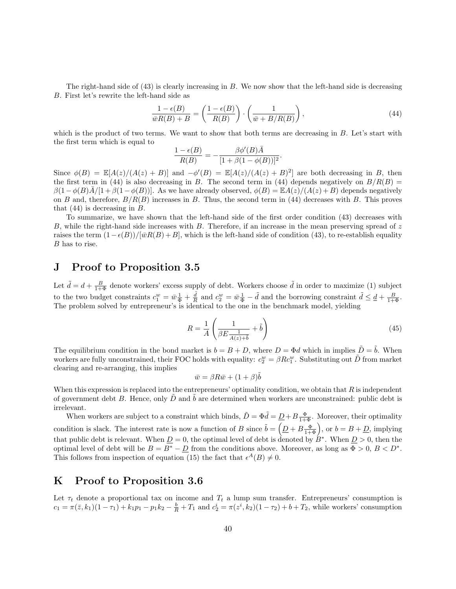The right-hand side of (43) is clearly increasing in B. We now show that the left-hand side is decreasing B. First let's rewrite the left-hand side as

$$
\frac{1 - \epsilon(B)}{\bar{w}R(B) + B} = \left(\frac{1 - \epsilon(B)}{R(B)}\right) \cdot \left(\frac{1}{\bar{w} + B/R(B)}\right),\tag{44}
$$

which is the product of two terms. We want to show that both terms are decreasing in B. Let's start with the first term which is equal to

$$
\frac{1-\epsilon(B)}{R(B)} = -\frac{\beta \phi'(B)\overline{A}}{[1+\beta(1-\phi(B))]^2}.
$$

Since  $\phi(B) = \mathbb{E}[A(z)/(A(z) + B)]$  and  $-\phi'(B) = \mathbb{E}[A(z)/(A(z) + B)^2]$  are both decreasing in B, then the first term in (44) is also decreasing in B. The second term in (44) depends negatively on  $B/R(B)$  =  $\beta(1-\phi(B)\overline{A}/[1+\beta(1-\phi(B))]$ . As we have already observed,  $\phi(B) = \mathbb{E}A(z)/(A(z)+B)$  depends negatively on B and, therefore,  $B/R(B)$  increases in B. Thus, the second term in (44) decreases with B. This proves that  $(44)$  is decreasing in B.

To summarize, we have shown that the left-hand side of the first order condition (43) decreases with B, while the right-hand side increases with  $B$ . Therefore, if an increase in the mean preserving spread of  $z$ raises the term  $(1 - \epsilon(B))/[\bar{w}R(B) + B]$ , which is the left-hand side of condition (43), to re-establish equality B has to rise.

# J Proof to Proposition 3.5

Let  $\tilde{d} = d + \frac{B}{1+\Phi}$  denote workers' excess supply of debt. Workers choose  $\tilde{d}$  in order to maximize (1) subject to the two budget constraints  $c_1^w = \bar{w} \frac{1}{\Phi} + \frac{\tilde{d}}{R}$  and  $c_2^w = \bar{w} \frac{1}{\Phi} - \tilde{d}$  and the borrowing constraint  $\tilde{d} \leq \underline{d} + \frac{B}{1+\Phi}$ . The problem solved by entrepreneur's is identical to the one in the benchmark model, yielding

$$
R = \frac{1}{A} \left( \frac{1}{\beta E \frac{1}{A(z) + \tilde{b}}} + \tilde{b} \right)
$$
(45)

The equilibrium condition in the bond market is  $b = B + D$ , where  $D = \Phi d$  which in implies  $\tilde{D} = \tilde{b}$ . When workers are fully unconstrained, their FOC holds with equality:  $c_2^w = \beta R c_1^w$ . Substituting out  $\tilde{D}$  from market clearing and re-arranging, this implies

$$
\bar{w} = \beta R \bar{w} + (1 + \beta) \tilde{b}
$$

When this expression is replaced into the entrepreneurs' optimality condition, we obtain that  $R$  is independent of government debt B. Hence, only  $\ddot{D}$  and b are determined when workers are unconstrained: public debt is irrelevant.

When workers are subject to a constraint which binds,  $\tilde{D} = \Phi \tilde{d} = \underline{D} + B \frac{\Phi}{1+\Phi}$ . Moreover, their optimality condition is slack. The interest rate is now a function of B since  $\tilde{b} = (\underline{D} + B \frac{\Phi}{1+\Phi})$ , or  $b = B + \underline{D}$ , implying that public debt is relevant. When  $\underline{D} = 0$ , the optimal level of debt is denoted by  $B^*$ . When  $\underline{D} > 0$ , then the optimal level of debt will be  $B = B^* - \underline{D}$  from the conditions above. Moreover, as long as  $\Phi > 0$ ,  $B < D^*$ . This follows from inspection of equation (15) the fact that  $\epsilon^{A}(B) \neq 0$ .

### K Proof to Proposition 3.6

Let  $\tau_t$  denote a proportional tax on income and  $T_t$  a lump sum transfer. Entrepreneurs' consumption is  $c_1 = \pi(\bar{z}, k_1)(1 - \tau_1) + k_1p_1 - p_1k_2 - \frac{b}{R} + T_1$  and  $c_2^i = \pi(z^i, k_2)(1 - \tau_2) + b + T_2$ , while workers' consumption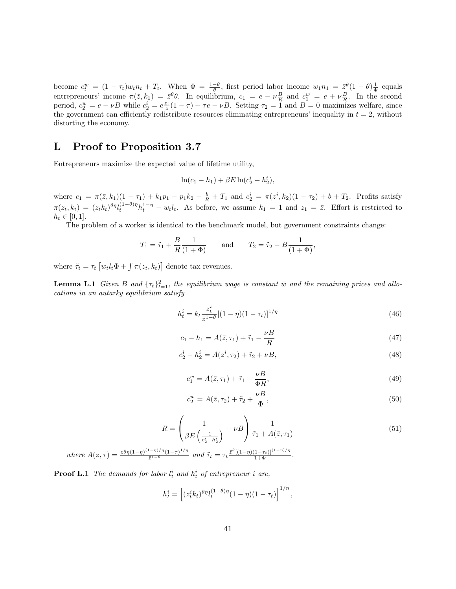become  $c_t^w = (1 - \tau_t) w_t n_t + T_t$ . When  $\Phi = \frac{1-\theta}{\theta}$ , first period labor income  $w_1 n_1 = \bar{z}^{\theta} (1 - \theta) \frac{1}{\Phi}$  equals entrepreneurs' income  $\pi(\bar{z}, k_1) = \bar{z}^{\theta} \theta$ . In equilibrium,  $c_1 = e - \nu \frac{B}{R}$  and  $c_1^w = e + \nu \frac{B}{R}$ . In the second period,  $c_2^w = e - \nu B$  while  $c_2^i = e \frac{z_i}{z} (1 - \tau) + \tau e - \nu B$ . Setting  $\tau_2 = 1$  and  $B = 0$  maximizes welfare, since the government can efficiently redistribute resources eliminating entrepreneurs' inequality in  $t = 2$ , without distorting the economy.

## L Proof to Proposition 3.7

Entrepreneurs maximize the expected value of lifetime utility,

$$
\ln(c_1 - h_1) + \beta E \ln(c_2^i - h_2^i),
$$

where  $c_1 = \pi(\bar{z}, k_1)(1 - \tau_1) + k_1p_1 - p_1k_2 - \frac{b}{R} + T_1$  and  $c_2^i = \pi(z^i, k_2)(1 - \tau_2) + b + T_2$ . Profits satisfy  $\pi(z_t, k_t) = (z_t k_t)^{\theta \eta} l_t^{(1-\theta)\eta} h_t^{1-\eta} - w_t l_t$ . As before, we assume  $k_1 = 1$  and  $z_1 = \overline{z}$ . Effort is restricted to  $h_t \in [0, 1].$ 

The problem of a worker is identical to the benchmark model, but government constraints change:

$$
T_1 = \tilde{\tau}_1 + \frac{B}{R} \frac{1}{(1+\Phi)}
$$
 and  $T_2 = \tilde{\tau}_2 - B \frac{1}{(1+\Phi)}$ ,

where  $\tilde{\tau}_t = \tau_t \left[ w_t l_t \Phi + \int \pi(z_t, k_t) \right]$  denote tax revenues.

**Lemma L.1** Given B and  $\{\tau_t\}_{t=1}^2$ , the equilibrium wage is constant  $\bar{w}$  and the remaining prices and allocations in an autarky equilibrium satisfy

$$
h_t^i = k_t \frac{z_t^i}{\bar{z}^{1-\theta}} [(1-\eta)(1-\tau_t)]^{1/\eta}
$$
\n(46)

$$
c_1 - h_1 = A(\bar{z}, \tau_1) + \tilde{\tau}_1 - \frac{\nu B}{R}
$$
\n(47)

$$
c_2^i - h_2^i = A(z^i, \tau_2) + \tilde{\tau}_2 + \nu B,
$$
\n(48)

$$
c_1^w = A(\bar{z}, \tau_1) + \tilde{\tau}_1 - \frac{\nu B}{\Phi R},\tag{49}
$$

$$
c_2^w = A(\bar{z}, \tau_2) + \tilde{\tau}_2 + \frac{\nu B}{\Phi},
$$
\n(50)

$$
R = \left(\frac{1}{\beta E\left(\frac{1}{c_2^i - h_2^i}\right)} + \nu B\right) \frac{1}{\tilde{\tau}_1 + A(\bar{z}, \tau_1)}
$$
(51)

where  $A(z,\tau) = \frac{z\theta\eta(1-\eta)^{(1-\eta)/\eta}(1-\tau)^{1/\eta}}{\bar{z}^{1-\theta}}$  $\frac{(1-\eta)/\eta}{\bar{z}^{1-\theta}}$  and  $\tilde{\tau}_t = \tau_t \frac{\bar{z}^{\theta}[(1-\eta)(1-\tau_t)]^{(1-\eta)/\eta}}{1+\Phi}$ .

c

**Proof L.1** The demands for labor  $l_t^i$  and  $h_t^i$  of entrepreneur i are,

$$
h_t^i = \left[ (z_t^i k_t)^{\theta \eta} l_t^{(1-\theta)\eta} (1-\eta)(1-\tau_t) \right]^{1/\eta},
$$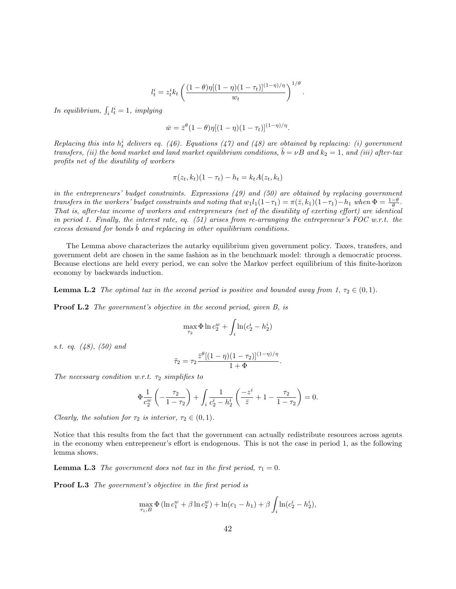$$
l_t^i = z_t^i k_t \left( \frac{(1-\theta)\eta[(1-\eta)(1-\tau_t)]^{(1-\eta)/\eta}}{w_t} \right)^{1/\theta}.
$$

In equilibrium,  $\int_i l_t^i = 1$ , implying

$$
\bar{w} = \bar{z}^{\theta} (1 - \theta) \eta [(1 - \eta)(1 - \tau_t)]^{(1 - \eta)/\eta}.
$$

Replacing this into  $h_t^i$  delivers eq. (46). Equations (47) and (48) are obtained by replacing: (i) government transfers, (ii) the bond market and land market equilibrium conditions,  $b = vB$  and  $k_2 = 1$ , and (iii) after-tax profits net of the disutility of workers

$$
\pi(z_t, k_t)(1 - \tau_t) - h_t = k_t A(z_t, k_t)
$$

in the entrepreneurs' budget constraints. Expressions  $(49)$  and  $(50)$  are obtained by replacing government transfers in the workers' budget constraints and noting that  $w_1l_1(1-\tau_1) = \pi(\bar{z}, k_1)(1-\tau_1) - h_1$  when  $\Phi = \frac{1-\theta}{\theta}$ . That is, after-tax income of workers and entrepreneurs (net of the disutility of exerting effort) are identical in period 1. Finally, the interest rate, eq.  $(51)$  arises from re-arranging the entrepreneur's FOC w.r.t. the excess demand for bonds  $\tilde{b}$  and replacing in other equilibrium conditions.

The Lemma above characterizes the autarky equilibrium given government policy. Taxes, transfers, and government debt are chosen in the same fashion as in the benchmark model: through a democratic process. Because elections are held every period, we can solve the Markov perfect equilibrium of this finite-horizon economy by backwards induction.

**Lemma L.2** The optimal tax in the second period is positive and bounded away from 1,  $\tau_2 \in (0,1)$ .

**Proof L.2** The government's objective in the second period, given B, is

$$
\max_{\tau_2} \Phi \ln c_2^w + \int_i \ln(c_2^i - h_2^i)
$$

s.t. eq. (48), (50) and

$$
\tilde{\tau}_2 = \tau_2 \frac{\bar{z}^{\theta}[(1-\eta)(1-\tau_2)]^{(1-\eta)/\eta}}{1+\Phi}.
$$

The necessary condition w.r.t.  $\tau_2$  simplifies to

$$
\Phi \frac{1}{c_2^w} \left( -\frac{\tau_2}{1 - \tau_2} \right) + \int_i \frac{1}{c_2^i - h_2^i} \left( \frac{-z^i}{\bar{z}} + 1 - \frac{\tau_2}{1 - \tau_2} \right) = 0.
$$

Clearly, the solution for  $\tau_2$  is interior,  $\tau_2 \in (0,1)$ .

Notice that this results from the fact that the government can actually redistribute resources across agents in the economy when entrepreneur's effort is endogenous. This is not the case in period 1, as the following lemma shows.

**Lemma L.3** The government does not tax in the first period,  $\tau_1 = 0$ .

**Proof L.3** The government's objective in the first period is

$$
\max_{\tau_1, B} \Phi\left(\ln c_1^w + \beta \ln c_2^w\right) + \ln(c_1 - h_1) + \beta \int_i \ln(c_2^i - h_2^i),
$$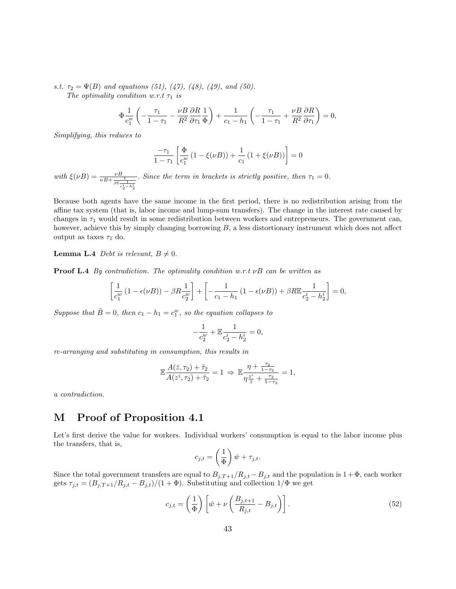s.t.  $\tau_2 = \Psi(B)$  and equations (51), (47), (48), (49), and (50). The optimality condition w.r.t  $\tau_1$  is

$$
\Phi \frac{1}{c_1^w} \left( -\frac{\tau_1}{1-\tau_1} - \frac{\nu B}{R^2} \frac{\partial R}{\partial \tau_1} \frac{1}{\Phi} \right) + \frac{1}{c_1 - h_1} \left( -\frac{\tau_1}{1-\tau_1} + \frac{\nu B}{R^2} \frac{\partial R}{\partial \tau_1} \right) = 0,
$$

Simplifying, this reduces to

$$
\frac{-\tau_1}{1-\tau_1} \left[ \frac{\Phi}{c_1^w} \left( 1 - \xi(\nu B) \right) + \frac{1}{c_1} \left( 1 + \xi(\nu B) \right) \right] = 0
$$

with  $\xi(\nu B) = \frac{\nu B}{\nu B + \frac{1}{\beta \mathbb{E} \frac{1}{c_2^i - h_2^i}}}$ . Since the term in brackets is strictly positive, then  $\tau_1 = 0$ .

Because both agents have the same income in the first period, there is no redistribution arising from the affine tax system (that is, labor income and lump-sum transfers). The change in the interest rate caused by changes in  $\tau_1$  would result in some redistribution between workers and entrepreneurs. The government can, however, achieve this by simply changing borrowing  $B$ , a less distortionary instrument which does not affect output as taxes  $\tau_1$  do.

**Lemma L.4** *Debt is relevant*,  $B \neq 0$ .

**Proof L.4** By contradiction. The optimality condition w.r.t  $\nu B$  can be written as

$$
\left[\frac{1}{c_1^w} \left(1 - \epsilon(\nu B)\right) - \beta R \frac{1}{c_2^w}\right] + \left[-\frac{1}{c_1 - h_1} \left(1 - \epsilon(\nu B)\right) + \beta R \mathbb{E} \frac{1}{c_2^i - h_2^i}\right] = 0,
$$

Suppose that  $\tilde{B} = 0$ , then  $c_1 - h_1 = c_1^w$ , so the equation collapses to

$$
-\frac{1}{c_2^w} + \mathbb{E} \frac{1}{c_2^i - h_2^i} = 0,
$$

re-arranging and substituting in consumption, this results in

$$
\mathbb{E} \frac{A(\bar z,\tau_2)+\tilde\tau_2}{A(z^i,\tau_2)+\tilde\tau_2}=1 \ \Rightarrow \ \mathbb{E} \frac{\eta+\frac{\tau_2}{1-\tau_2}}{\eta\frac{z^i}{\bar z}+\frac{\tau_2}{1-\tau_2}}=1,
$$

a contradiction.

# M Proof of Proposition 4.1

Let's first derive the value for workers. Individual workers' consumption is equal to the labor income plus the transfers, that is,

$$
c_{j,t} = \left(\frac{1}{\Phi}\right)\bar{w} + \tau_{j,t}.
$$

Since the total government transfers are equal to  $B_{j,T+1}/R_{j,t} - B_{j,t}$  and the population is  $1 + \Phi$ , each worker gets  $\tau_{j,t} = (B_{j,T+1}/R_{j,t} - B_{j,t})/(1+\Phi)$ . Substituting and collection  $1/\Phi$  we get

$$
c_{j,t} = \left(\frac{1}{\Phi}\right) \left[ \bar{w} + \nu \left( \frac{B_{j,t+1}}{R_{j,t}} - B_{j,t} \right) \right]. \tag{52}
$$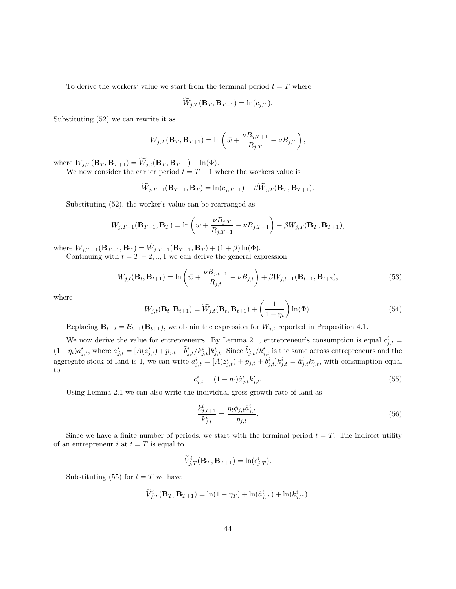To derive the workers' value we start from the terminal period  $t = T$  where

$$
W_{j,T}(\mathbf{B}_T,\mathbf{B}_{T+1}) = \ln(c_{j,T}).
$$

Substituting (52) we can rewrite it as

$$
W_{j,T}(\mathbf{B}_T, \mathbf{B}_{T+1}) = \ln\left(\bar{w} + \frac{\nu B_{j,T+1}}{R_{j,T}} - \nu B_{j,T}\right),\,
$$

where  $W_{j,T}(\mathbf{B}_T, \mathbf{B}_{T+1}) = \widetilde{W}_{j,t}(\mathbf{B}_T, \mathbf{B}_{T+1}) + \ln(\Phi)$ .

We now consider the earlier period  $t = T - 1$  where the workers value is

$$
\widetilde{W}_{j,T-1}(\mathbf{B}_{T-1},\mathbf{B}_T)=\ln(c_{j,T-1})+\beta \widetilde{W}_{j,T}(\mathbf{B}_T,\mathbf{B}_{T+1}).
$$

Substituting (52), the worker's value can be rearranged as

$$
W_{j,T-1}(\mathbf{B}_{T-1}, \mathbf{B}_{T}) = \ln\left(\bar{w} + \frac{\nu B_{j,T}}{R_{j,T-1}} - \nu B_{j,T-1}\right) + \beta W_{j,T}(\mathbf{B}_{T}, \mathbf{B}_{T+1}),
$$

where  $W_{j,T-1}(\mathbf{B}_{T-1}, \mathbf{B}_T) = W_{j,T-1}(\mathbf{B}_{T-1}, \mathbf{B}_T) + (1+\beta) \ln(\Phi)$ .<br>Continuing with  $t = T - 2, \dots, 1$  we can derive the general expression

$$
W_{j,t}(\mathbf{B}_t, \mathbf{B}_{t+1}) = \ln\left(\bar{w} + \frac{\nu B_{j,t+1}}{R_{j,t}} - \nu B_{j,t}\right) + \beta W_{j,t+1}(\mathbf{B}_{t+1}, \mathbf{B}_{t+2}),\tag{53}
$$

where

$$
W_{j,t}(\mathbf{B}_t, \mathbf{B}_{t+1}) = \widetilde{W}_{j,t}(\mathbf{B}_t, \mathbf{B}_{t+1}) + \left(\frac{1}{1-\eta_t}\right) \ln(\Phi). \tag{54}
$$

Replacing  $\mathbf{B}_{t+2} = \mathcal{B}_{t+1}(\mathbf{B}_{t+1})$ , we obtain the expression for  $W_{j,t}$  reported in Proposition 4.1.

We now derive the value for entrepreneurs. By Lemma 2.1, entrepreneur's consumption is equal  $c_{j,t}^i =$  $(1-\eta_t)a_{j,t}^i$ , where  $a_{j,t}^i = [A(z_{j,t}^i) + p_{j,t} + \tilde{b}_{j,t}^i/k_{j,t}^i]k_{j,t}^i$ . Since  $\tilde{b}_{j,t}^i/k_{j,t}^i$  is the same across entrepreneurs and the aggregate stock of land is 1, we can write  $a_{j,t}^i = [A(z_{j,t}^i) + p_{j,t} + \tilde{b}_{j,t}^i]k_{j,t}^i = \hat{a}_{j,t}^i k_{j,t}^i$ , with consumption equal to

$$
c_{j,t}^i = (1 - \eta_t)\hat{a}_{j,t}^i k_{j,t}^i.
$$
\n(55)

Using Lemma 2.1 we can also write the individual gross growth rate of land as

$$
\frac{k_{j,t+1}^i}{k_{j,t}^i} = \frac{\eta_t \phi_{j,t} \hat{a}_{j,t}^i}{p_{j,t}}.
$$
\n(56)

Since we have a finite number of periods, we start with the terminal period  $t = T$ . The indirect utility of an entrepreneur i at  $t = T$  is equal to

$$
\widetilde{V}_{j,T}^i(\mathbf{B}_T,\mathbf{B}_{T+1}) = \ln(c_{j,T}^i).
$$

Substituting (55) for  $t = T$  we have

$$
\widetilde{V}_{j,T}^i(\mathbf{B}_T, \mathbf{B}_{T+1}) = \ln(1 - \eta_T) + \ln(\hat{a}_{j,T}^i) + \ln(k_{j,T}^i).
$$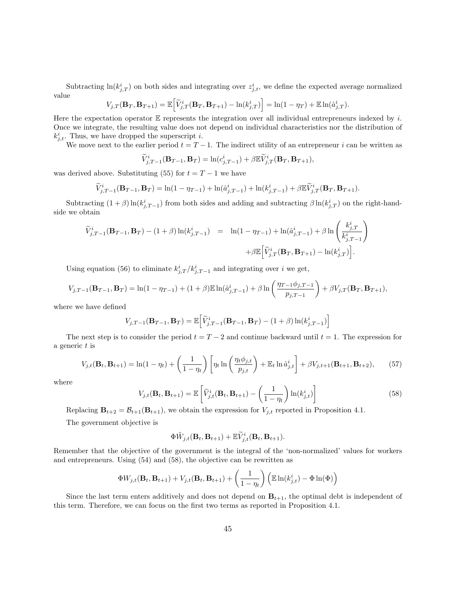Subtracting  $\ln(k_{j,T}^i)$  on both sides and integrating over  $z_{j,t}^i$ , we define the expected average normalized value

$$
V_{j,T}(\mathbf{B}_T, \mathbf{B}_{T+1}) = \mathbb{E}\Big[\widetilde{V}_{j,T}^i(\mathbf{B}_T, \mathbf{B}_{T+1}) - \ln(k_{j,T}^i)\Big] = \ln(1 - \eta_T) + \mathbb{E}\ln(\hat{a}_{j,T}^i).
$$

Here the expectation operator  $E$  represents the integration over all individual entrepreneurs indexed by i. Once we integrate, the resulting value does not depend on individual characteristics nor the distribution of  $k_{j,t}^i$ . Thus, we have dropped the superscript i.

We move next to the earlier period  $t = T - 1$ . The indirect utility of an entrepreneur i can be written as

$$
\widetilde{V}_{j,T-1}^i(\mathbf{B}_{T-1},\mathbf{B}_T)=\ln(c_{j,T-1}^i)+\beta \mathbb{E} \widetilde{V}_{j,T}^i(\mathbf{B}_T,\mathbf{B}_{T+1}),
$$

was derived above. Substituting (55) for  $t = T - 1$  we have

$$
\widetilde{V}_{j,T-1}^{i}(\mathbf{B}_{T-1},\mathbf{B}_{T}) = \ln(1-\eta_{T-1}) + \ln(\hat{a}_{j,T-1}^{i}) + \ln(k_{j,T-1}^{i}) + \beta \mathbb{E} \widetilde{V}_{j,T}^{i}(\mathbf{B}_{T},\mathbf{B}_{T+1}).
$$

Subtracting  $(1+\beta)\ln(k_{j,T-1}^i)$  from both sides and adding and subtracting  $\beta \ln(k_{j,T}^i)$  on the right-handside we obtain

$$
\widetilde{V}_{j,T-1}^{i}(\mathbf{B}_{T-1},\mathbf{B}_{T}) - (1+\beta)\ln(k_{j,T-1}^{i}) = \ln(1-\eta_{T-1}) + \ln(\hat{a}_{j,T-1}^{i}) + \beta \ln\left(\frac{k_{j,T}^{i}}{k_{j,T-1}^{i}}\right) + \beta \mathbb{E}\Big[\widetilde{V}_{j,T}^{i}(\mathbf{B}_{T},\mathbf{B}_{T+1}) - \ln(k_{j,T}^{i})\Big].
$$

Using equation (56) to eliminate  $k_{j,T}^i / k_{j,T-1}^i$  and integrating over i we get,

$$
V_{j,T-1}(\mathbf{B}_{T-1},\mathbf{B}_T) = \ln(1 - \eta_{T-1}) + (1 + \beta) \mathbb{E} \ln(\hat{a}_{j,T-1}^i) + \beta \ln\left(\frac{\eta_{T-1}\phi_{j,T-1}}{p_{j,T-1}}\right) + \beta V_{j,T}(\mathbf{B}_T,\mathbf{B}_{T+1}),
$$

where we have defined

$$
V_{j,T-1}(\mathbf{B}_{T-1},\mathbf{B}_T)=\mathbb{E}\Big[\widetilde{V}_{j,T-1}^i(\mathbf{B}_{T-1},\mathbf{B}_T)-(1+\beta)\ln(k_{j,T-1}^i)\Big]
$$

The next step is to consider the period  $t = T - 2$  and continue backward until  $t = 1$ . The expression for a generic t is

$$
V_{j,t}(\mathbf{B}_t, \mathbf{B}_{t+1}) = \ln(1 - \eta_t) + \left(\frac{1}{1 - \eta_t}\right) \left[\eta_t \ln\left(\frac{\eta_t \phi_{j,t}}{p_{j,t}}\right) + \mathbb{E}_t \ln \hat{a}_{j,t}^i\right] + \beta V_{j,t+1}(\mathbf{B}_{t+1}, \mathbf{B}_{t+2}),\tag{57}
$$

where

$$
V_{j,t}(\mathbf{B}_t, \mathbf{B}_{t+1}) = \mathbb{E}\left[\widetilde{V}_{j,t}^i(\mathbf{B}_t, \mathbf{B}_{t+1}) - \left(\frac{1}{1-\eta_t}\right)\ln(k_{j,t}^i)\right]
$$
(58)

Replacing  $\mathbf{B}_{t+2} = \mathcal{B}_{t+1}(\mathbf{B}_{t+1})$ , we obtain the expression for  $V_{j,t}$  reported in Proposition 4.1.

The government objective is

$$
\Phi \tilde{W}_{j,t}(\mathbf{B}_t,\mathbf{B}_{t+1})+\mathbb{E} \tilde{V}_{j,t}^i(\mathbf{B}_t,\mathbf{B}_{t+1}).
$$

Remember that the objective of the government is the integral of the 'non-normalized' values for workers and entrepreneurs. Using (54) and (58), the objective can be rewritten as

$$
\Phi W_{j,t}(\mathbf{B}_t, \mathbf{B}_{t+1}) + V_{j,t}(\mathbf{B}_t, \mathbf{B}_{t+1}) + \left(\frac{1}{1-\eta_t}\right) \left(\mathbb{E}\ln(k_{j,t}^i) - \Phi\ln(\Phi)\right)
$$

Since the last term enters additively and does not depend on  $\mathbf{B}_{t+1}$ , the optimal debt is independent of this term. Therefore, we can focus on the first two terms as reported in Proposition 4.1.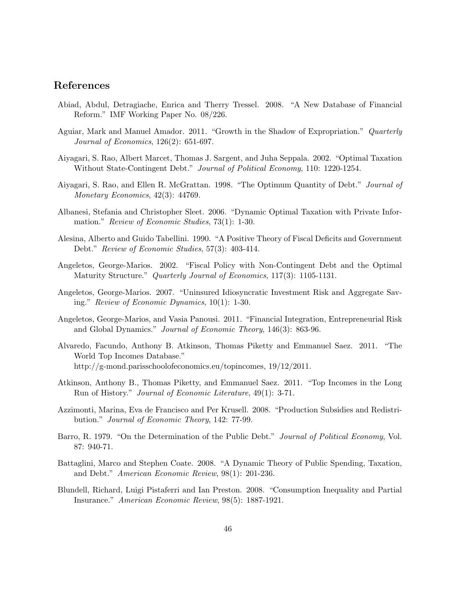# References

- Abiad, Abdul, Detragiache, Enrica and Therry Tressel. 2008. "A New Database of Financial Reform." IMF Working Paper No. 08/226.
- Aguiar, Mark and Manuel Amador. 2011. "Growth in the Shadow of Expropriation." *Quarterly* Journal of Economics, 126(2): 651-697.
- Aiyagari, S. Rao, Albert Marcet, Thomas J. Sargent, and Juha Seppala. 2002. "Optimal Taxation Without State-Contingent Debt." Journal of Political Economy, 110: 1220-1254.
- Aiyagari, S. Rao, and Ellen R. McGrattan. 1998. "The Optimum Quantity of Debt." Journal of Monetary Economics, 42(3): 44769.
- Albanesi, Stefania and Christopher Sleet. 2006. "Dynamic Optimal Taxation with Private Information." Review of Economic Studies, 73(1): 1-30.
- Alesina, Alberto and Guido Tabellini. 1990. "A Positive Theory of Fiscal Deficits and Government Debt." Review of Economic Studies, 57(3): 403-414.
- Angeletos, George-Marios. 2002. "Fiscal Policy with Non-Contingent Debt and the Optimal Maturity Structure." Quarterly Journal of Economics, 117(3): 1105-1131.
- Angeletos, George-Marios. 2007. "Uninsured Idiosyncratic Investment Risk and Aggregate Saving." Review of Economic Dynamics, 10(1): 1-30.
- Angeletos, George-Marios, and Vasia Panousi. 2011. "Financial Integration, Entrepreneurial Risk and Global Dynamics." Journal of Economic Theory, 146(3): 863-96.
- Alvaredo, Facundo, Anthony B. Atkinson, Thomas Piketty and Emmanuel Saez. 2011. "The World Top Incomes Database." http://g-mond.parisschoolofeconomics.eu/topincomes,  $19/12/2011$ .
- Atkinson, Anthony B., Thomas Piketty, and Emmanuel Saez. 2011. "Top Incomes in the Long Run of History." Journal of Economic Literature, 49(1): 3-71.
- Azzimonti, Marina, Eva de Francisco and Per Krusell. 2008. "Production Subsidies and Redistribution." Journal of Economic Theory, 142: 77-99.
- Barro, R. 1979. "On the Determination of the Public Debt." Journal of Political Economy, Vol. 87: 940-71.
- Battaglini, Marco and Stephen Coate. 2008. "A Dynamic Theory of Public Spending, Taxation, and Debt." American Economic Review, 98(1): 201-236.
- Blundell, Richard, Luigi Pistaferri and Ian Preston. 2008. "Consumption Inequality and Partial Insurance." American Economic Review, 98(5): 1887-1921.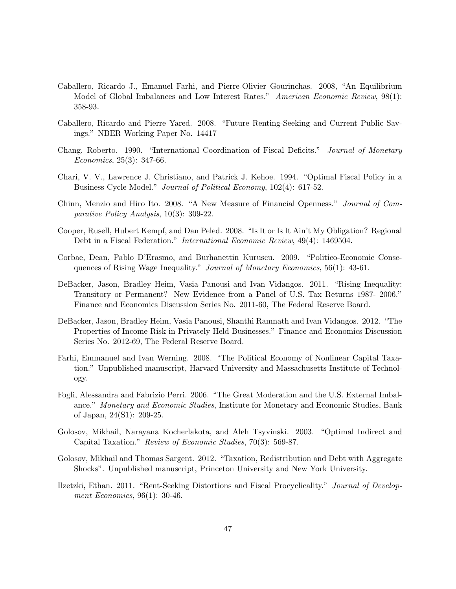- Caballero, Ricardo J., Emanuel Farhi, and Pierre-Olivier Gourinchas. 2008, "An Equilibrium Model of Global Imbalances and Low Interest Rates." American Economic Review, 98(1): 358-93.
- Caballero, Ricardo and Pierre Yared. 2008. "Future Renting-Seeking and Current Public Savings." NBER Working Paper No. 14417
- Chang, Roberto. 1990. "International Coordination of Fiscal Deficits." Journal of Monetary Economics, 25(3): 347-66.
- Chari, V. V., Lawrence J. Christiano, and Patrick J. Kehoe. 1994. "Optimal Fiscal Policy in a Business Cycle Model." Journal of Political Economy, 102(4): 617-52.
- Chinn, Menzio and Hiro Ito. 2008. "A New Measure of Financial Openness." Journal of Comparative Policy Analysis, 10(3): 309-22.
- Cooper, Rusell, Hubert Kempf, and Dan Peled. 2008. "Is It or Is It Ain't My Obligation? Regional Debt in a Fiscal Federation." International Economic Review, 49(4): 1469504.
- Corbae, Dean, Pablo D'Erasmo, and Burhanettin Kuruscu. 2009. "Politico-Economic Consequences of Rising Wage Inequality." Journal of Monetary Economics, 56(1): 43-61.
- DeBacker, Jason, Bradley Heim, Vasia Panousi and Ivan Vidangos. 2011. "Rising Inequality: Transitory or Permanent? New Evidence from a Panel of U.S. Tax Returns 1987- 2006." Finance and Economics Discussion Series No. 2011-60, The Federal Reserve Board.
- DeBacker, Jason, Bradley Heim, Vasia Panousi, Shanthi Ramnath and Ivan Vidangos. 2012. "The Properties of Income Risk in Privately Held Businesses." Finance and Economics Discussion Series No. 2012-69, The Federal Reserve Board.
- Farhi, Emmanuel and Ivan Werning. 2008. "The Political Economy of Nonlinear Capital Taxation." Unpublished manuscript, Harvard University and Massachusetts Institute of Technology.
- Fogli, Alessandra and Fabrizio Perri. 2006. "The Great Moderation and the U.S. External Imbalance." Monetary and Economic Studies, Institute for Monetary and Economic Studies, Bank of Japan, 24(S1): 209-25.
- Golosov, Mikhail, Narayana Kocherlakota, and Aleh Tsyvinski. 2003. "Optimal Indirect and Capital Taxation." Review of Economic Studies, 70(3): 569-87.
- Golosov, Mikhail and Thomas Sargent. 2012. "Taxation, Redistribution and Debt with Aggregate Shocks". Unpublished manuscript, Princeton University and New York University.
- Ilzetzki, Ethan. 2011. "Rent-Seeking Distortions and Fiscal Procyclicality." Journal of Development Economics, 96(1): 30-46.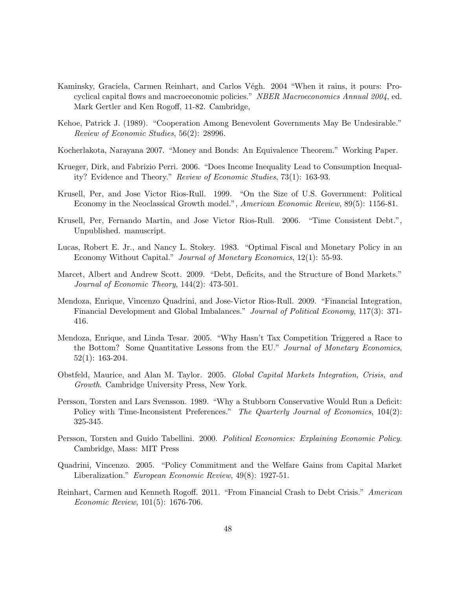- Kaminsky, Graciela, Carmen Reinhart, and Carlos Végh. 2004 "When it rains, it pours: Procyclical capital flows and macroeconomic policies." NBER Macroeconomics Annual 2004, ed. Mark Gertler and Ken Rogoff, 11-82. Cambridge,
- Kehoe, Patrick J. (1989). "Cooperation Among Benevolent Governments May Be Undesirable." Review of Economic Studies, 56(2): 28996.
- Kocherlakota, Narayana 2007. "Money and Bonds: An Equivalence Theorem." Working Paper.
- Krueger, Dirk, and Fabrizio Perri. 2006. "Does Income Inequality Lead to Consumption Inequality? Evidence and Theory." Review of Economic Studies, 73(1): 163-93.
- Krusell, Per, and Jose Victor Rios-Rull. 1999. "On the Size of U.S. Government: Political Economy in the Neoclassical Growth model.", American Economic Review, 89(5): 1156-81.
- Krusell, Per, Fernando Martin, and Jose Victor Rios-Rull. 2006. "Time Consistent Debt.", Unpublished. manuscript.
- Lucas, Robert E. Jr., and Nancy L. Stokey. 1983. "Optimal Fiscal and Monetary Policy in an Economy Without Capital." Journal of Monetary Economics, 12(1): 55-93.
- Marcet, Albert and Andrew Scott. 2009. "Debt, Deficits, and the Structure of Bond Markets." Journal of Economic Theory, 144(2): 473-501.
- Mendoza, Enrique, Vincenzo Quadrini, and Jose-Victor Rios-Rull. 2009. "Financial Integration, Financial Development and Global Imbalances." Journal of Political Economy, 117(3): 371- 416.
- Mendoza, Enrique, and Linda Tesar. 2005. "Why Hasn't Tax Competition Triggered a Race to the Bottom? Some Quantitative Lessons from the EU." Journal of Monetary Economics, 52(1): 163-204.
- Obstfeld, Maurice, and Alan M. Taylor. 2005. Global Capital Markets Integration, Crisis, and Growth. Cambridge University Press, New York.
- Persson, Torsten and Lars Svensson. 1989. "Why a Stubborn Conservative Would Run a Deficit: Policy with Time-Inconsistent Preferences." The Quarterly Journal of Economics, 104(2): 325-345.
- Persson, Torsten and Guido Tabellini. 2000. Political Economics: Explaining Economic Policy. Cambridge, Mass: MIT Press
- Quadrini, Vincenzo. 2005. "Policy Commitment and the Welfare Gains from Capital Market Liberalization." European Economic Review, 49(8): 1927-51.
- Reinhart, Carmen and Kenneth Rogoff. 2011. "From Financial Crash to Debt Crisis." American Economic Review, 101(5): 1676-706.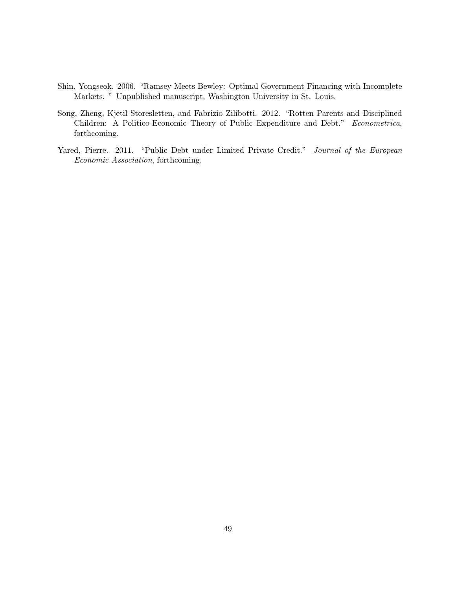- Shin, Yongseok. 2006. "Ramsey Meets Bewley: Optimal Government Financing with Incomplete Markets. " Unpublished manuscript, Washington University in St. Louis.
- Song, Zheng, Kjetil Storesletten, and Fabrizio Zilibotti. 2012. "Rotten Parents and Disciplined Children: A Politico-Economic Theory of Public Expenditure and Debt." Econometrica, forthcoming.
- Yared, Pierre. 2011. "Public Debt under Limited Private Credit." Journal of the European Economic Association, forthcoming.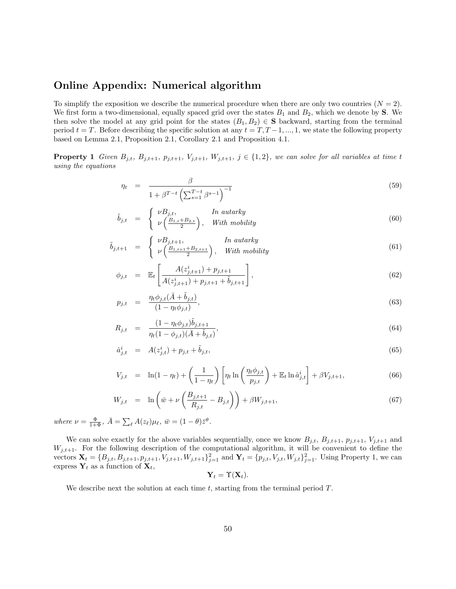# Online Appendix: Numerical algorithm

To simplify the exposition we describe the numerical procedure when there are only two countries  $(N = 2)$ . We first form a two-dimensional, equally spaced grid over the states  $B_1$  and  $B_2$ , which we denote by S. We then solve the model at any grid point for the states  $(B_1, B_2) \in S$  backward, starting from the terminal period  $t = T$ . Before describing the specific solution at any  $t = T, T - 1, ..., 1$ , we state the following property based on Lemma 2.1, Proposition 2.1, Corollary 2.1 and Proposition 4.1.

**Property 1** Given  $B_{j,t}$ ,  $B_{j,t+1}$ ,  $p_{j,t+1}$ ,  $V_{j,t+1}$ ,  $W_{j,t+1}$ ,  $j \in \{1,2\}$ , we can solve for all variables at time t using the equations

$$
\eta_t = \frac{\beta}{1 + \beta^{T-t} \left( \sum_{s=1}^{T-t} \beta^{s-1} \right)^{-1}} \tag{59}
$$

$$
\tilde{b}_{j,t} = \begin{cases}\n \nu B_{j,t}, & \text{In autarky} \\
\nu \left( \frac{B_{1,t} + B_{2,t}}{2} \right), & \text{With mobility}\n \end{cases}
$$
\n(60)

$$
\tilde{b}_{j,t+1} = \begin{cases} \nu B_{j,t+1}, & \text{In autarky} \\ \nu \left( \frac{B_{1,t+1} + B_{2,t+1}}{2} \right), & \text{With mobility} \end{cases} \tag{61}
$$

$$
\phi_{j,t} = \mathbb{E}_t \left[ \frac{A(z_{j,t+1}^i) + p_{j,t+1}}{A(z_{j,t+1}^i) + p_{j,t+1} + \tilde{b}_{j,t+1}} \right],
$$
\n(62)

$$
p_{j,t} = \frac{\eta_t \phi_{j,t}(\bar{A} + \tilde{b}_{j,t})}{(1 - \eta_t \phi_{j,t})},
$$
\n(63)

$$
R_{j,t} = \frac{(1 - \eta_t \phi_{j,t})\tilde{b}_{j,t+1}}{\eta_t (1 - \phi_{j,t})(\bar{A} + \tilde{b}_{j,t})},\tag{64}
$$

$$
\hat{a}_{j,t}^i = A(z_{j,t}^i) + p_{j,t} + \tilde{b}_{j,t}, \tag{65}
$$

$$
V_{j,t} = \ln(1 - \eta_t) + \left(\frac{1}{1 - \eta_t}\right) \left[\eta_t \ln\left(\frac{\eta_t \phi_{j,t}}{p_{j,t}}\right) + \mathbb{E}_t \ln \hat{a}_{j,t}^i\right] + \beta V_{j,t+1},\tag{66}
$$

$$
W_{j,t} = \ln\left(\bar{w} + \nu\left(\frac{B_{j,t+1}}{R_{j,t}} - B_{j,t}\right)\right) + \beta W_{j,t+1},\tag{67}
$$

where  $\nu = \frac{\Phi}{1+\Phi}$ ,  $\bar{A} = \sum_{\ell} A(z_{\ell}) \mu_{\ell}$ ,  $\bar{w} = (1-\theta)\bar{z}^{\theta}$ .

We can solve exactly for the above variables sequentially, once we know  $B_{j,t}, B_{j,t+1}, p_{j,t+1}, V_{j,t+1}$  and  $W_{j,t+1}$ . For the following description of the computational algorithm, it will be convenient to define the vectors  $\mathbf{X}_t = \{B_{j,t}, B_{j,t+1}, p_{j,t+1}, V_{j,t+1}, W_{j,t+1}\}_{j=1}^2$  and  $\mathbf{Y}_t = \{p_{j,t}, V_{j,t}, W_{j,t}\}_{j=1}^2$ . Using Property 1, we can express  $\mathbf{Y}_t$  as a function of  $\mathbf{X}_t$ ,

$$
\mathbf{Y}_t = \Upsilon(\mathbf{X}_t).
$$

We describe next the solution at each time  $t$ , starting from the terminal period  $T$ .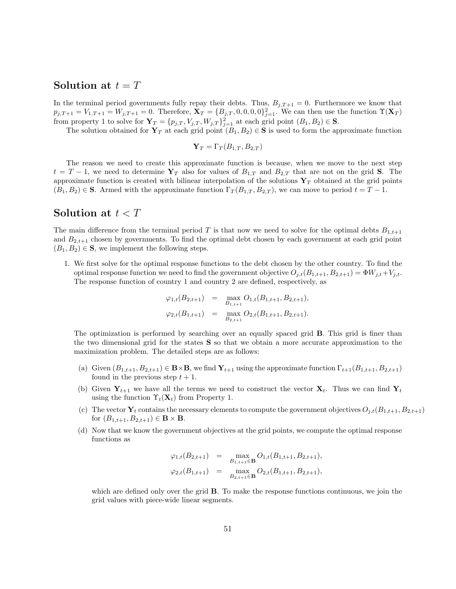## Solution at  $t = T$

In the terminal period governments fully repay their debts. Thus,  $B_{j,T+1} = 0$ . Furthermore we know that  $p_{j,T+1} = V_{1,T+1} = W_{j,T+1} = 0.$  Therefore,  $\mathbf{X}_T = \{B_{j,T}, 0, 0, 0, 0\}_{j=1}^2$ . We can then use the function  $\Upsilon(\mathbf{X}_T)$ from property 1 to solve for  $\mathbf{Y}_T = \{p_{j,T}, V_{j,T}, W_{j,T}\}_{j=1}^2$  at each grid point  $(B_1, B_2) \in \mathbf{S}$ .

The solution obtained for  $Y_T$  at each grid point  $(B_1, B_2) \in S$  is used to form the approximate function

$$
\mathbf{Y}_T = \Gamma_T(B_{1,T}, B_{2,T})
$$

The reason we need to create this approximate function is because, when we move to the next step  $t = T - 1$ , we need to determine  $Y_T$  also for values of  $B_{1,T}$  and  $B_{2,T}$  that are not on the grid S. The approximate function is created with bilinear interpolation of the solutions  $Y_T$  obtained at the grid points  $(B_1, B_2) \in \mathbf{S}$ . Armed with the approximate function  $\Gamma_T(B_{1,T}, B_{2,T})$ , we can move to period  $t = T - 1$ .

### Solution at  $t < T$

The main difference from the terminal period T is that now we need to solve for the optimal debts  $B_{1,t+1}$ and  $B_{2,t+1}$  chosen by governments. To find the optimal debt chosen by each government at each grid point  $(B_1, B_2) \in \mathbf{S}$ , we implement the following steps.

1. We first solve for the optimal response functions to the debt chosen by the other country. To find the optimal response function we need to find the government objective  $O_{j,t}(B_{1,t+1}, B_{2,t+1}) = \Phi W_{j,t} + V_{j,t}$ . The response function of country 1 and country 2 are defined, respectively, as

$$
\varphi_{1,t}(B_{2,t+1}) = \max_{B_{1,t+1}} O_{1,t}(B_{1,t+1}, B_{2,t+1}),
$$
  

$$
\varphi_{2,t}(B_{1,t+1}) = \max_{B_{2,t+1}} O_{2,t}(B_{1,t+1}, B_{2,t+1}).
$$

The optimization is performed by searching over an equally spaced grid B. This grid is finer than the two dimensional grid for the states S so that we obtain a more accurate approximation to the maximization problem. The detailed steps are as follows:

- (a) Given  $(B_{1,t+1}, B_{2,t+1}) \in \mathbf{B} \times \mathbf{B}$ , we find  $\mathbf{Y}_{t+1}$  using the approximate function  $\Gamma_{t+1}(B_{1,t+1}, B_{2,t+1})$ found in the previous step  $t + 1$ .
- (b) Given  $Y_{t+1}$  we have all the terms we need to construct the vector  $X_t$ . Thus we can find  $Y_t$ using the function  $\Upsilon_t(\mathbf{X}_t)$  from Property 1.
- (c) The vector  $\mathbf{Y}_t$  contains the necessary elements to compute the government objectives  $O_{j,t}(B_{1,t+1}, B_{2,t+1})$ for  $(B_{1,t+1}, B_{2,t+1}) \in \mathbf{B} \times \mathbf{B}$ .
- (d) Now that we know the government objectives at the grid points, we compute the optimal response functions as

$$
\varphi_{1,t}(B_{2,t+1}) = \max_{B_{1,t+1} \in \mathbf{B}} O_{1,t}(B_{1,t+1}, B_{2,t+1}),
$$
  

$$
\varphi_{2,t}(B_{1,t+1}) = \max_{B_{2,t+1} \in \mathbf{B}} O_{2,t}(B_{1,t+1}, B_{2,t+1}),
$$

which are defined only over the grid **B**. To make the response functions continuous, we join the grid values with piece-wide linear segments.